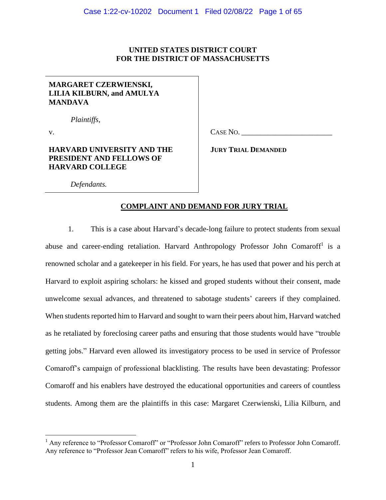# **UNITED STATES DISTRICT COURT FOR THE DISTRICT OF MASSACHUSETTS**

# **MARGARET CZERWIENSKI, LILIA KILBURN, and AMULYA MANDAVA**

**HARVARD UNIVERSITY AND THE PRESIDENT AND FELLOWS OF** 

*Plaintiffs,*

v.

CASE NO.

**JURY TRIAL DEMANDED**

*Defendants.*

**HARVARD COLLEGE**

# **COMPLAINT AND DEMAND FOR JURY TRIAL**

1. This is a case about Harvard's decade-long failure to protect students from sexual abuse and career-ending retaliation. Harvard Anthropology Professor John Comaroff<sup>1</sup> is a renowned scholar and a gatekeeper in his field. For years, he has used that power and his perch at Harvard to exploit aspiring scholars: he kissed and groped students without their consent, made unwelcome sexual advances, and threatened to sabotage students' careers if they complained. When students reported him to Harvard and sought to warn their peers about him, Harvard watched as he retaliated by foreclosing career paths and ensuring that those students would have "trouble getting jobs." Harvard even allowed its investigatory process to be used in service of Professor Comaroff's campaign of professional blacklisting. The results have been devastating: Professor Comaroff and his enablers have destroyed the educational opportunities and careers of countless students. Among them are the plaintiffs in this case: Margaret Czerwienski, Lilia Kilburn, and

<sup>&</sup>lt;sup>1</sup> Any reference to "Professor Comaroff" or "Professor John Comaroff" refers to Professor John Comaroff. Any reference to "Professor Jean Comaroff" refers to his wife, Professor Jean Comaroff.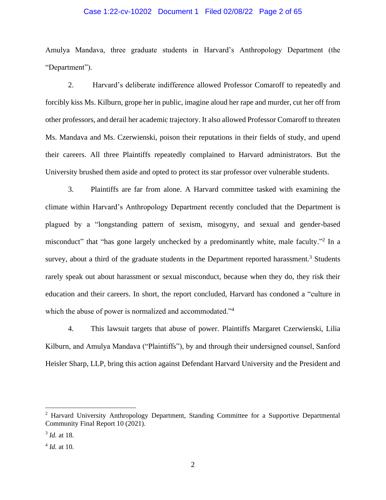## Case 1:22-cv-10202 Document 1 Filed 02/08/22 Page 2 of 65

Amulya Mandava, three graduate students in Harvard's Anthropology Department (the "Department").

2. Harvard's deliberate indifference allowed Professor Comaroff to repeatedly and forcibly kiss Ms. Kilburn, grope her in public, imagine aloud her rape and murder, cut her off from other professors, and derail her academic trajectory. It also allowed Professor Comaroff to threaten Ms. Mandava and Ms. Czerwienski, poison their reputations in their fields of study, and upend their careers. All three Plaintiffs repeatedly complained to Harvard administrators. But the University brushed them aside and opted to protect its star professor over vulnerable students.

3. Plaintiffs are far from alone. A Harvard committee tasked with examining the climate within Harvard's Anthropology Department recently concluded that the Department is plagued by a "longstanding pattern of sexism, misogyny, and sexual and gender-based misconduct" that "has gone largely unchecked by a predominantly white, male faculty."<sup>2</sup> In a survey, about a third of the graduate students in the Department reported harassment.<sup>3</sup> Students rarely speak out about harassment or sexual misconduct, because when they do, they risk their education and their careers. In short, the report concluded, Harvard has condoned a "culture in which the abuse of power is normalized and accommodated."<sup>4</sup>

4. This lawsuit targets that abuse of power. Plaintiffs Margaret Czerwienski, Lilia Kilburn, and Amulya Mandava ("Plaintiffs"), by and through their undersigned counsel, Sanford Heisler Sharp, LLP, bring this action against Defendant Harvard University and the President and

<sup>&</sup>lt;sup>2</sup> Harvard University Anthropology Department, Standing Committee for a Supportive Departmental Community Final Report 10 (2021).

<sup>3</sup> *Id.* at 18.

<sup>4</sup> *Id.* at 10.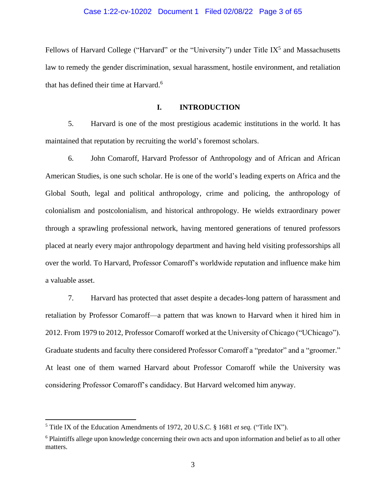#### Case 1:22-cv-10202 Document 1 Filed 02/08/22 Page 3 of 65

Fellows of Harvard College ("Harvard" or the "University") under Title IX<sup>5</sup> and Massachusetts law to remedy the gender discrimination, sexual harassment, hostile environment, and retaliation that has defined their time at Harvard. 6

# **I. INTRODUCTION**

5. Harvard is one of the most prestigious academic institutions in the world. It has maintained that reputation by recruiting the world's foremost scholars.

6. John Comaroff, Harvard Professor of Anthropology and of African and African American Studies, is one such scholar. He is one of the world's leading experts on Africa and the Global South, legal and political anthropology, crime and policing, the anthropology of colonialism and postcolonialism, and historical anthropology. He wields extraordinary power through a sprawling professional network, having mentored generations of tenured professors placed at nearly every major anthropology department and having held visiting professorships all over the world. To Harvard, Professor Comaroff's worldwide reputation and influence make him a valuable asset.

7. Harvard has protected that asset despite a decades-long pattern of harassment and retaliation by Professor Comaroff—a pattern that was known to Harvard when it hired him in 2012. From 1979 to 2012, Professor Comaroff worked at the University of Chicago ("UChicago"). Graduate students and faculty there considered Professor Comaroff a "predator" and a "groomer." At least one of them warned Harvard about Professor Comaroff while the University was considering Professor Comaroff's candidacy. But Harvard welcomed him anyway.

<sup>5</sup> Title IX of the Education Amendments of 1972, 20 U.S.C. § 1681 *et seq.* ("Title IX").

<sup>6</sup> Plaintiffs allege upon knowledge concerning their own acts and upon information and belief as to all other matters.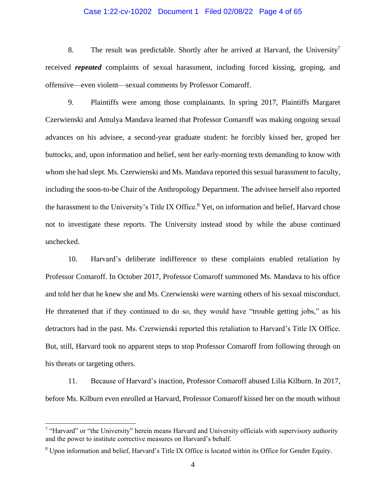## Case 1:22-cv-10202 Document 1 Filed 02/08/22 Page 4 of 65

8. The result was predictable. Shortly after he arrived at Harvard, the University<sup>7</sup> received *repeated* complaints of sexual harassment, including forced kissing, groping, and offensive—even violent—sexual comments by Professor Comaroff.

9. Plaintiffs were among those complainants. In spring 2017, Plaintiffs Margaret Czerwienski and Amulya Mandava learned that Professor Comaroff was making ongoing sexual advances on his advisee, a second-year graduate student: he forcibly kissed her, groped her buttocks, and, upon information and belief, sent her early-morning texts demanding to know with whom she had slept. Ms. Czerwienski and Ms. Mandava reported this sexual harassment to faculty, including the soon-to-be Chair of the Anthropology Department. The advisee herself also reported the harassment to the University's Title IX Office.<sup>8</sup> Yet, on information and belief, Harvard chose not to investigate these reports. The University instead stood by while the abuse continued unchecked.

10. Harvard's deliberate indifference to these complaints enabled retaliation by Professor Comaroff. In October 2017, Professor Comaroff summoned Ms. Mandava to his office and told her that he knew she and Ms. Czerwienski were warning others of his sexual misconduct. He threatened that if they continued to do so, they would have "trouble getting jobs," as his detractors had in the past. Ms. Czerwienski reported this retaliation to Harvard's Title IX Office. But, still, Harvard took no apparent steps to stop Professor Comaroff from following through on his threats or targeting others.

11. Because of Harvard's inaction, Professor Comaroff abused Lilia Kilburn. In 2017, before Ms. Kilburn even enrolled at Harvard, Professor Comaroff kissed her on the mouth without

<sup>&</sup>lt;sup>7</sup> "Harvard" or "the University" herein means Harvard and University officials with supervisory authority and the power to institute corrective measures on Harvard's behalf.

<sup>8</sup> Upon information and belief, Harvard's Title IX Office is located within its Office for Gender Equity.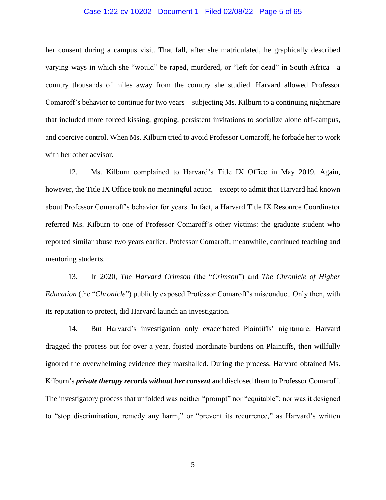## Case 1:22-cv-10202 Document 1 Filed 02/08/22 Page 5 of 65

her consent during a campus visit. That fall, after she matriculated, he graphically described varying ways in which she "would" be raped, murdered, or "left for dead" in South Africa—a country thousands of miles away from the country she studied. Harvard allowed Professor Comaroff's behavior to continue for two years—subjecting Ms. Kilburn to a continuing nightmare that included more forced kissing, groping, persistent invitations to socialize alone off-campus, and coercive control. When Ms. Kilburn tried to avoid Professor Comaroff, he forbade her to work with her other advisor.

12. Ms. Kilburn complained to Harvard's Title IX Office in May 2019. Again, however, the Title IX Office took no meaningful action—except to admit that Harvard had known about Professor Comaroff's behavior for years. In fact, a Harvard Title IX Resource Coordinator referred Ms. Kilburn to one of Professor Comaroff's other victims: the graduate student who reported similar abuse two years earlier. Professor Comaroff, meanwhile, continued teaching and mentoring students.

13. In 2020, *The Harvard Crimson* (the "*Crimson*") and *The Chronicle of Higher Education* (the "*Chronicle*") publicly exposed Professor Comaroff's misconduct. Only then, with its reputation to protect, did Harvard launch an investigation.

14. But Harvard's investigation only exacerbated Plaintiffs' nightmare. Harvard dragged the process out for over a year, foisted inordinate burdens on Plaintiffs, then willfully ignored the overwhelming evidence they marshalled. During the process, Harvard obtained Ms. Kilburn's *private therapy records without her consent* and disclosed them to Professor Comaroff. The investigatory process that unfolded was neither "prompt" nor "equitable"; nor was it designed to "stop discrimination, remedy any harm," or "prevent its recurrence," as Harvard's written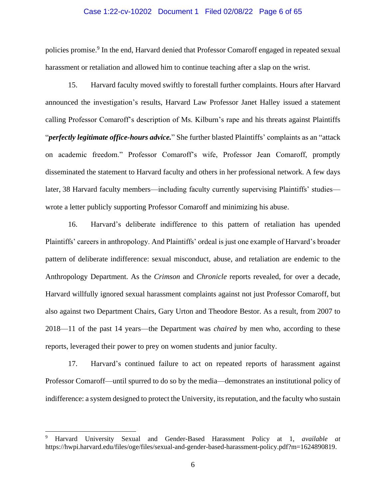#### Case 1:22-cv-10202 Document 1 Filed 02/08/22 Page 6 of 65

policies promise.<sup>9</sup> In the end, Harvard denied that Professor Comaroff engaged in repeated sexual harassment or retaliation and allowed him to continue teaching after a slap on the wrist.

15. Harvard faculty moved swiftly to forestall further complaints. Hours after Harvard announced the investigation's results, Harvard Law Professor Janet Halley issued a statement calling Professor Comaroff's description of Ms. Kilburn's rape and his threats against Plaintiffs "*perfectly legitimate office-hours advice.*" She further blasted Plaintiffs' complaints as an "attack on academic freedom." Professor Comaroff's wife, Professor Jean Comaroff, promptly disseminated the statement to Harvard faculty and others in her professional network. A few days later, 38 Harvard faculty members—including faculty currently supervising Plaintiffs' studies wrote a letter publicly supporting Professor Comaroff and minimizing his abuse.

16. Harvard's deliberate indifference to this pattern of retaliation has upended Plaintiffs' careers in anthropology. And Plaintiffs' ordeal is just one example of Harvard's broader pattern of deliberate indifference: sexual misconduct, abuse, and retaliation are endemic to the Anthropology Department. As the *Crimson* and *Chronicle* reports revealed, for over a decade, Harvard willfully ignored sexual harassment complaints against not just Professor Comaroff, but also against two Department Chairs, Gary Urton and Theodore Bestor. As a result, from 2007 to 2018—11 of the past 14 years—the Department was *chaired* by men who, according to these reports, leveraged their power to prey on women students and junior faculty.

17. Harvard's continued failure to act on repeated reports of harassment against Professor Comaroff—until spurred to do so by the media—demonstrates an institutional policy of indifference: a system designed to protect the University, its reputation, and the faculty who sustain

<sup>9</sup> Harvard University Sexual and Gender-Based Harassment Policy at 1, *available at* https://hwpi.harvard.edu/files/oge/files/sexual-and-gender-based-harassment-policy.pdf?m=1624890819.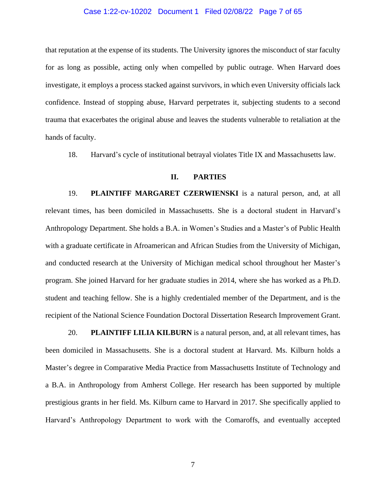#### Case 1:22-cv-10202 Document 1 Filed 02/08/22 Page 7 of 65

that reputation at the expense of its students. The University ignores the misconduct of star faculty for as long as possible, acting only when compelled by public outrage. When Harvard does investigate, it employs a process stacked against survivors, in which even University officials lack confidence. Instead of stopping abuse, Harvard perpetrates it, subjecting students to a second trauma that exacerbates the original abuse and leaves the students vulnerable to retaliation at the hands of faculty.

18. Harvard's cycle of institutional betrayal violates Title IX and Massachusetts law.

# **II. PARTIES**

19. **PLAINTIFF MARGARET CZERWIENSKI** is a natural person, and, at all relevant times, has been domiciled in Massachusetts. She is a doctoral student in Harvard's Anthropology Department. She holds a B.A. in Women's Studies and a Master's of Public Health with a graduate certificate in Afroamerican and African Studies from the University of Michigan, and conducted research at the University of Michigan medical school throughout her Master's program. She joined Harvard for her graduate studies in 2014, where she has worked as a Ph.D. student and teaching fellow. She is a highly credentialed member of the Department, and is the recipient of the National Science Foundation Doctoral Dissertation Research Improvement Grant.

20. **PLAINTIFF LILIA KILBURN** is a natural person, and, at all relevant times, has been domiciled in Massachusetts. She is a doctoral student at Harvard. Ms. Kilburn holds a Master's degree in Comparative Media Practice from Massachusetts Institute of Technology and a B.A. in Anthropology from Amherst College. Her research has been supported by multiple prestigious grants in her field. Ms. Kilburn came to Harvard in 2017. She specifically applied to Harvard's Anthropology Department to work with the Comaroffs, and eventually accepted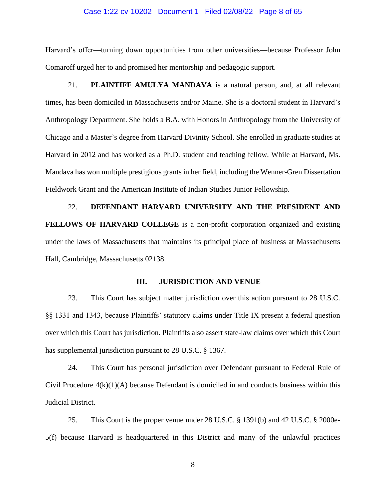#### Case 1:22-cv-10202 Document 1 Filed 02/08/22 Page 8 of 65

Harvard's offer—turning down opportunities from other universities—because Professor John Comaroff urged her to and promised her mentorship and pedagogic support.

21. **PLAINTIFF AMULYA MANDAVA** is a natural person, and, at all relevant times, has been domiciled in Massachusetts and/or Maine. She is a doctoral student in Harvard's Anthropology Department. She holds a B.A. with Honors in Anthropology from the University of Chicago and a Master's degree from Harvard Divinity School. She enrolled in graduate studies at Harvard in 2012 and has worked as a Ph.D. student and teaching fellow. While at Harvard, Ms. Mandava has won multiple prestigious grants in her field, including the Wenner-Gren Dissertation Fieldwork Grant and the American Institute of Indian Studies Junior Fellowship.

22. **DEFENDANT HARVARD UNIVERSITY AND THE PRESIDENT AND FELLOWS OF HARVARD COLLEGE** is a non-profit corporation organized and existing under the laws of Massachusetts that maintains its principal place of business at Massachusetts Hall, Cambridge, Massachusetts 02138.

# **III. JURISDICTION AND VENUE**

23. This Court has subject matter jurisdiction over this action pursuant to 28 U.S.C. §§ 1331 and 1343, because Plaintiffs' statutory claims under Title IX present a federal question over which this Court has jurisdiction. Plaintiffs also assert state-law claims over which this Court has supplemental jurisdiction pursuant to 28 U.S.C. § 1367.

24. This Court has personal jurisdiction over Defendant pursuant to Federal Rule of Civil Procedure 4(k)(1)(A) because Defendant is domiciled in and conducts business within this Judicial District.

25. This Court is the proper venue under 28 U.S.C. § 1391(b) and 42 U.S.C. § 2000e-5(f) because Harvard is headquartered in this District and many of the unlawful practices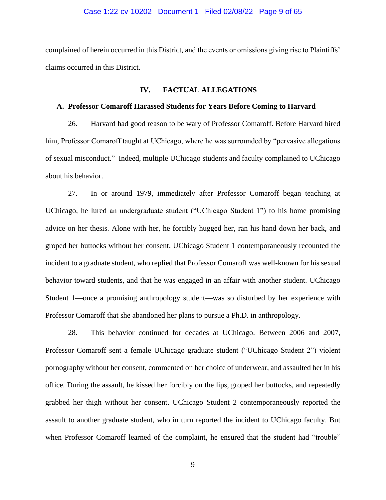## Case 1:22-cv-10202 Document 1 Filed 02/08/22 Page 9 of 65

complained of herein occurred in this District, and the events or omissions giving rise to Plaintiffs' claims occurred in this District.

#### **IV. FACTUAL ALLEGATIONS**

#### **A. Professor Comaroff Harassed Students for Years Before Coming to Harvard**

26. Harvard had good reason to be wary of Professor Comaroff. Before Harvard hired him, Professor Comaroff taught at UChicago, where he was surrounded by "pervasive allegations of sexual misconduct." Indeed, multiple UChicago students and faculty complained to UChicago about his behavior.

27. In or around 1979, immediately after Professor Comaroff began teaching at UChicago, he lured an undergraduate student ("UChicago Student 1") to his home promising advice on her thesis. Alone with her, he forcibly hugged her, ran his hand down her back, and groped her buttocks without her consent. UChicago Student 1 contemporaneously recounted the incident to a graduate student, who replied that Professor Comaroff was well-known for his sexual behavior toward students, and that he was engaged in an affair with another student. UChicago Student 1—once a promising anthropology student—was so disturbed by her experience with Professor Comaroff that she abandoned her plans to pursue a Ph.D. in anthropology.

28. This behavior continued for decades at UChicago. Between 2006 and 2007, Professor Comaroff sent a female UChicago graduate student ("UChicago Student 2") violent pornography without her consent, commented on her choice of underwear, and assaulted her in his office. During the assault, he kissed her forcibly on the lips, groped her buttocks, and repeatedly grabbed her thigh without her consent. UChicago Student 2 contemporaneously reported the assault to another graduate student, who in turn reported the incident to UChicago faculty. But when Professor Comaroff learned of the complaint, he ensured that the student had "trouble"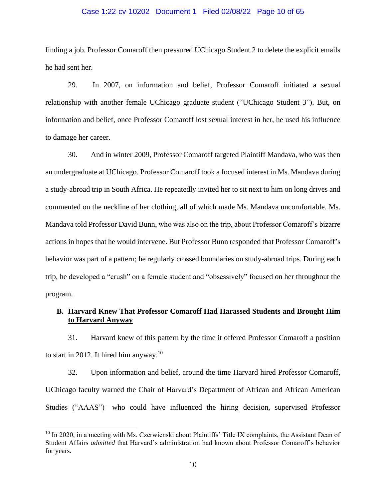## Case 1:22-cv-10202 Document 1 Filed 02/08/22 Page 10 of 65

finding a job. Professor Comaroff then pressured UChicago Student 2 to delete the explicit emails he had sent her.

29. In 2007, on information and belief, Professor Comaroff initiated a sexual relationship with another female UChicago graduate student ("UChicago Student 3"). But, on information and belief, once Professor Comaroff lost sexual interest in her, he used his influence to damage her career.

30. And in winter 2009, Professor Comaroff targeted Plaintiff Mandava, who was then an undergraduate at UChicago. Professor Comaroff took a focused interest in Ms. Mandava during a study-abroad trip in South Africa. He repeatedly invited her to sit next to him on long drives and commented on the neckline of her clothing, all of which made Ms. Mandava uncomfortable. Ms. Mandava told Professor David Bunn, who was also on the trip, about Professor Comaroff's bizarre actions in hopes that he would intervene. But Professor Bunn responded that Professor Comaroff's behavior was part of a pattern; he regularly crossed boundaries on study-abroad trips. During each trip, he developed a "crush" on a female student and "obsessively" focused on her throughout the program.

# **B. Harvard Knew That Professor Comaroff Had Harassed Students and Brought Him to Harvard Anyway**

31. Harvard knew of this pattern by the time it offered Professor Comaroff a position to start in 2012. It hired him anyway.<sup>10</sup>

32. Upon information and belief, around the time Harvard hired Professor Comaroff, UChicago faculty warned the Chair of Harvard's Department of African and African American Studies ("AAAS")—who could have influenced the hiring decision, supervised Professor

 $10$  In 2020, in a meeting with Ms. Czerwienski about Plaintiffs' Title IX complaints, the Assistant Dean of Student Affairs *admitted* that Harvard's administration had known about Professor Comaroff's behavior for years.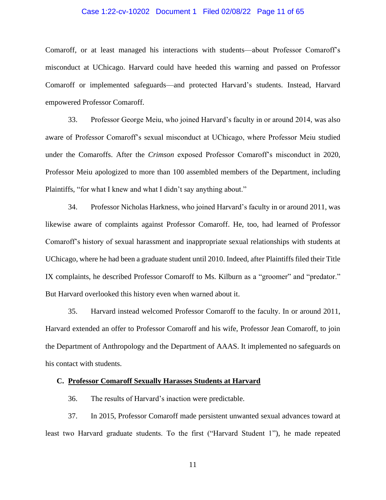# Case 1:22-cv-10202 Document 1 Filed 02/08/22 Page 11 of 65

Comaroff, or at least managed his interactions with students—about Professor Comaroff's misconduct at UChicago. Harvard could have heeded this warning and passed on Professor Comaroff or implemented safeguards—and protected Harvard's students. Instead, Harvard empowered Professor Comaroff.

33. Professor George Meiu, who joined Harvard's faculty in or around 2014, was also aware of Professor Comaroff's sexual misconduct at UChicago, where Professor Meiu studied under the Comaroffs. After the *Crimson* exposed Professor Comaroff's misconduct in 2020, Professor Meiu apologized to more than 100 assembled members of the Department, including Plaintiffs, "for what I knew and what I didn't say anything about."

34. Professor Nicholas Harkness, who joined Harvard's faculty in or around 2011, was likewise aware of complaints against Professor Comaroff. He, too, had learned of Professor Comaroff's history of sexual harassment and inappropriate sexual relationships with students at UChicago, where he had been a graduate student until 2010. Indeed, after Plaintiffs filed their Title IX complaints, he described Professor Comaroff to Ms. Kilburn as a "groomer" and "predator." But Harvard overlooked this history even when warned about it.

35. Harvard instead welcomed Professor Comaroff to the faculty. In or around 2011, Harvard extended an offer to Professor Comaroff and his wife, Professor Jean Comaroff, to join the Department of Anthropology and the Department of AAAS. It implemented no safeguards on his contact with students.

## **C. Professor Comaroff Sexually Harasses Students at Harvard**

36. The results of Harvard's inaction were predictable.

37. In 2015, Professor Comaroff made persistent unwanted sexual advances toward at least two Harvard graduate students. To the first ("Harvard Student 1"), he made repeated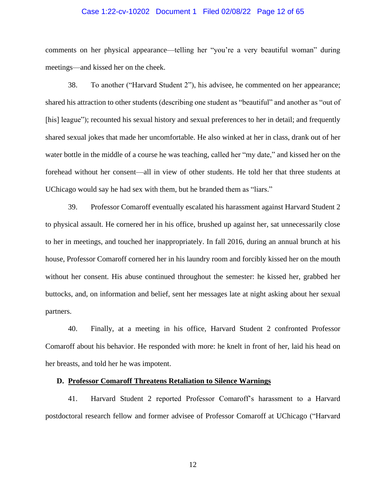## Case 1:22-cv-10202 Document 1 Filed 02/08/22 Page 12 of 65

comments on her physical appearance—telling her "you're a very beautiful woman" during meetings—and kissed her on the cheek.

38. To another ("Harvard Student 2"), his advisee, he commented on her appearance; shared his attraction to other students (describing one student as "beautiful" and another as "out of [his] league"); recounted his sexual history and sexual preferences to her in detail; and frequently shared sexual jokes that made her uncomfortable. He also winked at her in class, drank out of her water bottle in the middle of a course he was teaching, called her "my date," and kissed her on the forehead without her consent—all in view of other students. He told her that three students at UChicago would say he had sex with them, but he branded them as "liars."

39. Professor Comaroff eventually escalated his harassment against Harvard Student 2 to physical assault. He cornered her in his office, brushed up against her, sat unnecessarily close to her in meetings, and touched her inappropriately. In fall 2016, during an annual brunch at his house, Professor Comaroff cornered her in his laundry room and forcibly kissed her on the mouth without her consent. His abuse continued throughout the semester: he kissed her, grabbed her buttocks, and, on information and belief, sent her messages late at night asking about her sexual partners.

40. Finally, at a meeting in his office, Harvard Student 2 confronted Professor Comaroff about his behavior. He responded with more: he knelt in front of her, laid his head on her breasts, and told her he was impotent.

#### **D. Professor Comaroff Threatens Retaliation to Silence Warnings**

41. Harvard Student 2 reported Professor Comaroff's harassment to a Harvard postdoctoral research fellow and former advisee of Professor Comaroff at UChicago ("Harvard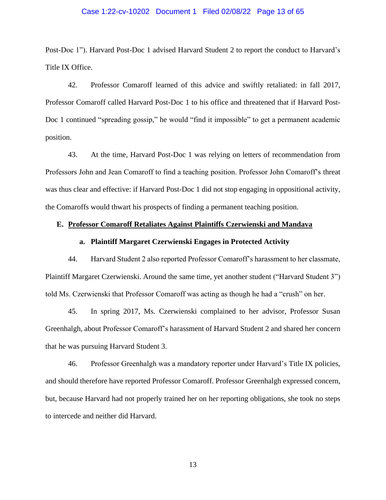## Case 1:22-cv-10202 Document 1 Filed 02/08/22 Page 13 of 65

Post-Doc 1"). Harvard Post-Doc 1 advised Harvard Student 2 to report the conduct to Harvard's Title IX Office.

42. Professor Comaroff learned of this advice and swiftly retaliated: in fall 2017, Professor Comaroff called Harvard Post-Doc 1 to his office and threatened that if Harvard Post-Doc 1 continued "spreading gossip," he would "find it impossible" to get a permanent academic position.

43. At the time, Harvard Post-Doc 1 was relying on letters of recommendation from Professors John and Jean Comaroff to find a teaching position. Professor John Comaroff's threat was thus clear and effective: if Harvard Post-Doc 1 did not stop engaging in oppositional activity, the Comaroffs would thwart his prospects of finding a permanent teaching position.

# **E. Professor Comaroff Retaliates Against Plaintiffs Czerwienski and Mandava**

# **a. Plaintiff Margaret Czerwienski Engages in Protected Activity**

44. Harvard Student 2 also reported Professor Comaroff's harassment to her classmate, Plaintiff Margaret Czerwienski. Around the same time, yet another student ("Harvard Student 3") told Ms. Czerwienski that Professor Comaroff was acting as though he had a "crush" on her.

45. In spring 2017, Ms. Czerwienski complained to her advisor, Professor Susan Greenhalgh, about Professor Comaroff's harassment of Harvard Student 2 and shared her concern that he was pursuing Harvard Student 3.

46. Professor Greenhalgh was a mandatory reporter under Harvard's Title IX policies, and should therefore have reported Professor Comaroff. Professor Greenhalgh expressed concern, but, because Harvard had not properly trained her on her reporting obligations, she took no steps to intercede and neither did Harvard.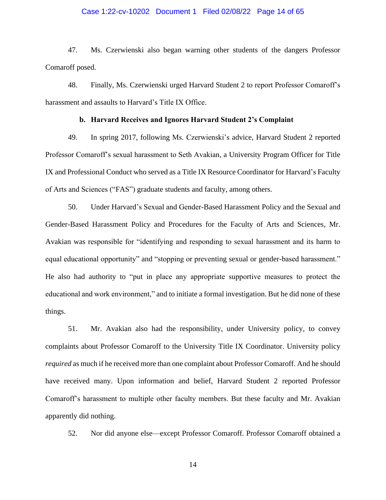# Case 1:22-cv-10202 Document 1 Filed 02/08/22 Page 14 of 65

47. Ms. Czerwienski also began warning other students of the dangers Professor Comaroff posed.

48. Finally, Ms. Czerwienski urged Harvard Student 2 to report Professor Comaroff's harassment and assaults to Harvard's Title IX Office.

## **b. Harvard Receives and Ignores Harvard Student 2's Complaint**

49. In spring 2017, following Ms. Czerwienski's advice, Harvard Student 2 reported Professor Comaroff's sexual harassment to Seth Avakian, a University Program Officer for Title IX and Professional Conduct who served as a Title IX Resource Coordinator for Harvard's Faculty of Arts and Sciences ("FAS") graduate students and faculty, among others.

50. Under Harvard's Sexual and Gender-Based Harassment Policy and the Sexual and Gender-Based Harassment Policy and Procedures for the Faculty of Arts and Sciences, Mr. Avakian was responsible for "identifying and responding to sexual harassment and its harm to equal educational opportunity" and "stopping or preventing sexual or gender-based harassment." He also had authority to "put in place any appropriate supportive measures to protect the educational and work environment," and to initiate a formal investigation. But he did none of these things.

51. Mr. Avakian also had the responsibility, under University policy, to convey complaints about Professor Comaroff to the University Title IX Coordinator. University policy *required* as much if he received more than one complaint about Professor Comaroff. And he should have received many. Upon information and belief, Harvard Student 2 reported Professor Comaroff's harassment to multiple other faculty members. But these faculty and Mr. Avakian apparently did nothing.

52. Nor did anyone else—except Professor Comaroff. Professor Comaroff obtained a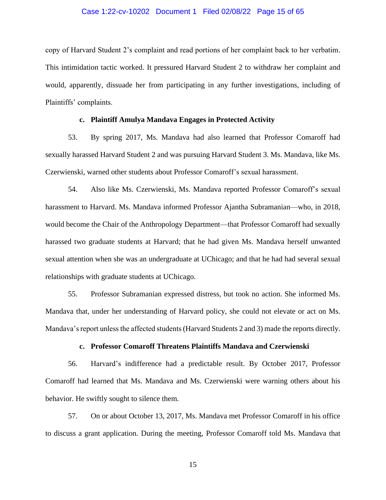## Case 1:22-cv-10202 Document 1 Filed 02/08/22 Page 15 of 65

copy of Harvard Student 2's complaint and read portions of her complaint back to her verbatim. This intimidation tactic worked. It pressured Harvard Student 2 to withdraw her complaint and would, apparently, dissuade her from participating in any further investigations, including of Plaintiffs' complaints.

# **c. Plaintiff Amulya Mandava Engages in Protected Activity**

53. By spring 2017, Ms. Mandava had also learned that Professor Comaroff had sexually harassed Harvard Student 2 and was pursuing Harvard Student 3. Ms. Mandava, like Ms. Czerwienski, warned other students about Professor Comaroff's sexual harassment.

54. Also like Ms. Czerwienski, Ms. Mandava reported Professor Comaroff's sexual harassment to Harvard. Ms. Mandava informed Professor Ajantha Subramanian—who, in 2018, would become the Chair of the Anthropology Department—that Professor Comaroff had sexually harassed two graduate students at Harvard; that he had given Ms. Mandava herself unwanted sexual attention when she was an undergraduate at UChicago; and that he had had several sexual relationships with graduate students at UChicago.

55. Professor Subramanian expressed distress, but took no action. She informed Ms. Mandava that, under her understanding of Harvard policy, she could not elevate or act on Ms. Mandava's report unless the affected students (Harvard Students 2 and 3) made the reports directly.

# **c. Professor Comaroff Threatens Plaintiffs Mandava and Czerwienski**

56. Harvard's indifference had a predictable result. By October 2017, Professor Comaroff had learned that Ms. Mandava and Ms. Czerwienski were warning others about his behavior. He swiftly sought to silence them.

57. On or about October 13, 2017, Ms. Mandava met Professor Comaroff in his office to discuss a grant application. During the meeting, Professor Comaroff told Ms. Mandava that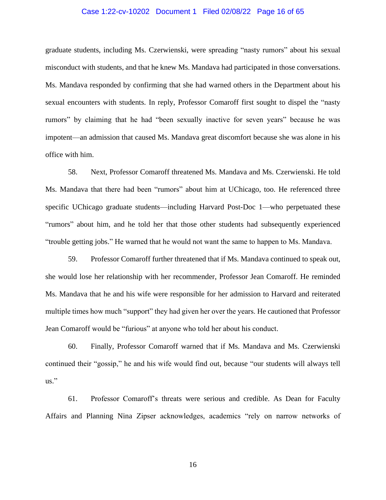## Case 1:22-cv-10202 Document 1 Filed 02/08/22 Page 16 of 65

graduate students, including Ms. Czerwienski, were spreading "nasty rumors" about his sexual misconduct with students, and that he knew Ms. Mandava had participated in those conversations. Ms. Mandava responded by confirming that she had warned others in the Department about his sexual encounters with students. In reply, Professor Comaroff first sought to dispel the "nasty rumors" by claiming that he had "been sexually inactive for seven years" because he was impotent—an admission that caused Ms. Mandava great discomfort because she was alone in his office with him.

58. Next, Professor Comaroff threatened Ms. Mandava and Ms. Czerwienski. He told Ms. Mandava that there had been "rumors" about him at UChicago, too. He referenced three specific UChicago graduate students—including Harvard Post-Doc 1—who perpetuated these "rumors" about him, and he told her that those other students had subsequently experienced "trouble getting jobs." He warned that he would not want the same to happen to Ms. Mandava.

59. Professor Comaroff further threatened that if Ms. Mandava continued to speak out, she would lose her relationship with her recommender, Professor Jean Comaroff. He reminded Ms. Mandava that he and his wife were responsible for her admission to Harvard and reiterated multiple times how much "support" they had given her over the years. He cautioned that Professor Jean Comaroff would be "furious" at anyone who told her about his conduct.

60. Finally, Professor Comaroff warned that if Ms. Mandava and Ms. Czerwienski continued their "gossip," he and his wife would find out, because "our students will always tell us."

61. Professor Comaroff's threats were serious and credible. As Dean for Faculty Affairs and Planning Nina Zipser acknowledges, academics "rely on narrow networks of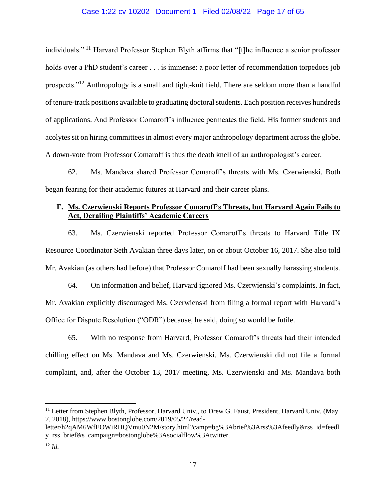# Case 1:22-cv-10202 Document 1 Filed 02/08/22 Page 17 of 65

individuals."<sup>11</sup> Harvard Professor Stephen Blyth affirms that "[t]he influence a senior professor holds over a PhD student's career . . . is immense: a poor letter of recommendation torpedoes job prospects."<sup>12</sup> Anthropology is a small and tight-knit field. There are seldom more than a handful of tenure-track positions available to graduating doctoral students. Each position receives hundreds of applications. And Professor Comaroff's influence permeates the field. His former students and acolytes sit on hiring committees in almost every major anthropology department across the globe. A down-vote from Professor Comaroff is thus the death knell of an anthropologist's career.

62. Ms. Mandava shared Professor Comaroff's threats with Ms. Czerwienski. Both began fearing for their academic futures at Harvard and their career plans.

# **F. Ms. Czerwienski Reports Professor Comaroff's Threats, but Harvard Again Fails to Act, Derailing Plaintiffs' Academic Careers**

63. Ms. Czerwienski reported Professor Comaroff's threats to Harvard Title IX Resource Coordinator Seth Avakian three days later, on or about October 16, 2017. She also told Mr. Avakian (as others had before) that Professor Comaroff had been sexually harassing students.

64. On information and belief, Harvard ignored Ms. Czerwienski's complaints. In fact, Mr. Avakian explicitly discouraged Ms. Czerwienski from filing a formal report with Harvard's Office for Dispute Resolution ("ODR") because, he said, doing so would be futile.

65. With no response from Harvard, Professor Comaroff's threats had their intended chilling effect on Ms. Mandava and Ms. Czerwienski. Ms. Czerwienski did not file a formal complaint, and, after the October 13, 2017 meeting, Ms. Czerwienski and Ms. Mandava both

<sup>&</sup>lt;sup>11</sup> Letter from Stephen Blyth, Professor, Harvard Univ., to Drew G. Faust, President, Harvard Univ. (May 7, 2018), https://www.bostonglobe.com/2019/05/24/read-

letter/h2qAM6WfEOWiRHQVmu0N2M/story.html?camp=bg%3Abrief%3Arss%3Afeedly&rss\_id=feedl y\_rss\_brief&s\_campaign=bostonglobe%3Asocialflow%3Atwitter.

 $12$  *Id.*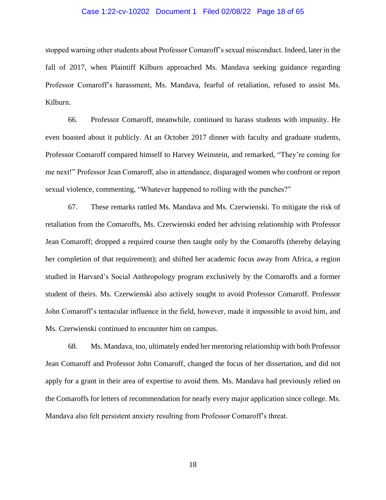## Case 1:22-cv-10202 Document 1 Filed 02/08/22 Page 18 of 65

stopped warning other students about Professor Comaroff's sexual misconduct. Indeed, later in the fall of 2017, when Plaintiff Kilburn approached Ms. Mandava seeking guidance regarding Professor Comaroff's harassment, Ms. Mandava, fearful of retaliation, refused to assist Ms. Kilburn.

66. Professor Comaroff, meanwhile, continued to harass students with impunity. He even boasted about it publicly. At an October 2017 dinner with faculty and graduate students, Professor Comaroff compared himself to Harvey Weinstein, and remarked, "They're coming for me next!" Professor Jean Comaroff, also in attendance, disparaged women who confront or report sexual violence, commenting, "Whatever happened to rolling with the punches?"

67. These remarks rattled Ms. Mandava and Ms. Czerwienski. To mitigate the risk of retaliation from the Comaroffs, Ms. Czerwienski ended her advising relationship with Professor Jean Comaroff; dropped a required course then taught only by the Comaroffs (thereby delaying her completion of that requirement); and shifted her academic focus away from Africa, a region studied in Harvard's Social Anthropology program exclusively by the Comaroffs and a former student of theirs. Ms. Czerwienski also actively sought to avoid Professor Comaroff. Professor John Comaroff's tentacular influence in the field, however, made it impossible to avoid him, and Ms. Czerwienski continued to encounter him on campus.

68. Ms. Mandava, too, ultimately ended her mentoring relationship with both Professor Jean Comaroff and Professor John Comaroff, changed the focus of her dissertation, and did not apply for a grant in their area of expertise to avoid them. Ms. Mandava had previously relied on the Comaroffs for letters of recommendation for nearly every major application since college. Ms. Mandava also felt persistent anxiety resulting from Professor Comaroff's threat.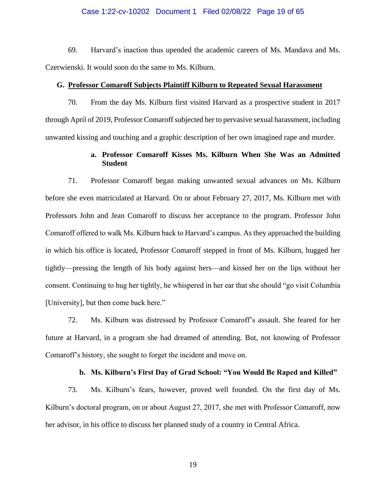# Case 1:22-cv-10202 Document 1 Filed 02/08/22 Page 19 of 65

69. Harvard's inaction thus upended the academic careers of Ms. Mandava and Ms. Czerwienski. It would soon do the same to Ms. Kilburn.

# **G. Professor Comaroff Subjects Plaintiff Kilburn to Repeated Sexual Harassment**

70. From the day Ms. Kilburn first visited Harvard as a prospective student in 2017 through April of 2019, Professor Comaroff subjected her to pervasive sexual harassment, including unwanted kissing and touching and a graphic description of her own imagined rape and murder.

# **a. Professor Comaroff Kisses Ms. Kilburn When She Was an Admitted Student**

71. Professor Comaroff began making unwanted sexual advances on Ms. Kilburn before she even matriculated at Harvard. On or about February 27, 2017, Ms. Kilburn met with Professors John and Jean Comaroff to discuss her acceptance to the program. Professor John Comaroff offered to walk Ms. Kilburn back to Harvard's campus. As they approached the building in which his office is located, Professor Comaroff stepped in front of Ms. Kilburn, hugged her tightly—pressing the length of his body against hers—and kissed her on the lips without her consent. Continuing to hug her tightly, he whispered in her ear that she should "go visit Columbia [University], but then come back here."

72. Ms. Kilburn was distressed by Professor Comaroff's assault. She feared for her future at Harvard, in a program she had dreamed of attending. But, not knowing of Professor Comaroff's history, she sought to forget the incident and move on.

# **b. Ms. Kilburn's First Day of Grad School: "You Would Be Raped and Killed"**

73. Ms. Kilburn's fears, however, proved well founded. On the first day of Ms. Kilburn's doctoral program, on or about August 27, 2017, she met with Professor Comaroff, now her advisor, in his office to discuss her planned study of a country in Central Africa.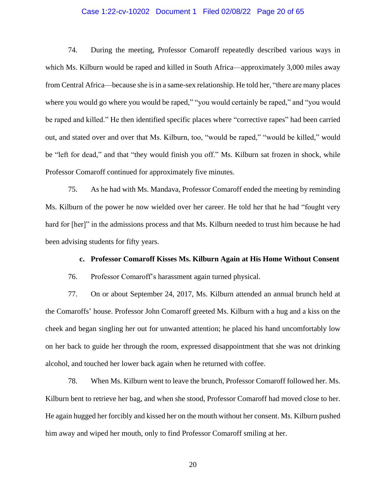# Case 1:22-cv-10202 Document 1 Filed 02/08/22 Page 20 of 65

74. During the meeting, Professor Comaroff repeatedly described various ways in which Ms. Kilburn would be raped and killed in South Africa—approximately 3,000 miles away from Central Africa—because she is in a same-sex relationship. He told her, "there are many places where you would go where you would be raped," "you would certainly be raped," and "you would be raped and killed." He then identified specific places where "corrective rapes" had been carried out, and stated over and over that Ms. Kilburn, too, "would be raped," "would be killed," would be "left for dead," and that "they would finish you off." Ms. Kilburn sat frozen in shock, while Professor Comaroff continued for approximately five minutes.

75. As he had with Ms. Mandava, Professor Comaroff ended the meeting by reminding Ms. Kilburn of the power he now wielded over her career. He told her that he had "fought very hard for [her]" in the admissions process and that Ms. Kilburn needed to trust him because he had been advising students for fifty years.

#### **c. Professor Comaroff Kisses Ms. Kilburn Again at His Home Without Consent**

76. Professor Comaroff's harassment again turned physical.

77. On or about September 24, 2017, Ms. Kilburn attended an annual brunch held at the Comaroffs' house. Professor John Comaroff greeted Ms. Kilburn with a hug and a kiss on the cheek and began singling her out for unwanted attention; he placed his hand uncomfortably low on her back to guide her through the room, expressed disappointment that she was not drinking alcohol, and touched her lower back again when he returned with coffee.

78. When Ms. Kilburn went to leave the brunch, Professor Comaroff followed her. Ms. Kilburn bent to retrieve her bag, and when she stood, Professor Comaroff had moved close to her. He again hugged her forcibly and kissed her on the mouth without her consent. Ms. Kilburn pushed him away and wiped her mouth, only to find Professor Comaroff smiling at her.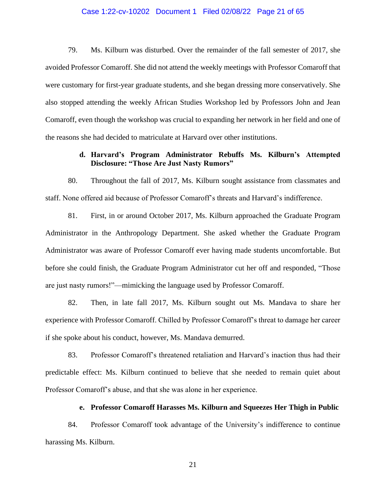## Case 1:22-cv-10202 Document 1 Filed 02/08/22 Page 21 of 65

79. Ms. Kilburn was disturbed. Over the remainder of the fall semester of 2017, she avoided Professor Comaroff. She did not attend the weekly meetings with Professor Comaroff that were customary for first-year graduate students, and she began dressing more conservatively. She also stopped attending the weekly African Studies Workshop led by Professors John and Jean Comaroff, even though the workshop was crucial to expanding her network in her field and one of the reasons she had decided to matriculate at Harvard over other institutions.

# **d. Harvard's Program Administrator Rebuffs Ms. Kilburn's Attempted Disclosure: "Those Are Just Nasty Rumors"**

80. Throughout the fall of 2017, Ms. Kilburn sought assistance from classmates and staff. None offered aid because of Professor Comaroff's threats and Harvard's indifference.

81. First, in or around October 2017, Ms. Kilburn approached the Graduate Program Administrator in the Anthropology Department. She asked whether the Graduate Program Administrator was aware of Professor Comaroff ever having made students uncomfortable. But before she could finish, the Graduate Program Administrator cut her off and responded, "Those are just nasty rumors!"—mimicking the language used by Professor Comaroff.

82. Then, in late fall 2017, Ms. Kilburn sought out Ms. Mandava to share her experience with Professor Comaroff. Chilled by Professor Comaroff's threat to damage her career if she spoke about his conduct, however, Ms. Mandava demurred.

83. Professor Comaroff's threatened retaliation and Harvard's inaction thus had their predictable effect: Ms. Kilburn continued to believe that she needed to remain quiet about Professor Comaroff's abuse, and that she was alone in her experience.

# **e. Professor Comaroff Harasses Ms. Kilburn and Squeezes Her Thigh in Public**

84. Professor Comaroff took advantage of the University's indifference to continue harassing Ms. Kilburn.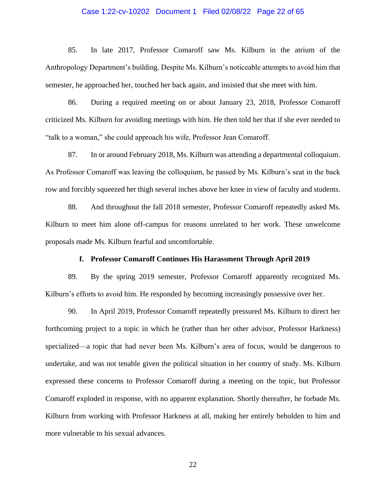## Case 1:22-cv-10202 Document 1 Filed 02/08/22 Page 22 of 65

85. In late 2017, Professor Comaroff saw Ms. Kilburn in the atrium of the Anthropology Department's building. Despite Ms. Kilburn's noticeable attempts to avoid him that semester, he approached her, touched her back again, and insisted that she meet with him.

86. During a required meeting on or about January 23, 2018, Professor Comaroff criticized Ms. Kilburn for avoiding meetings with him. He then told her that if she ever needed to "talk to a woman," she could approach his wife, Professor Jean Comaroff.

87. In or around February 2018, Ms. Kilburn was attending a departmental colloquium. As Professor Comaroff was leaving the colloquium, he passed by Ms. Kilburn's seat in the back row and forcibly squeezed her thigh several inches above her knee in view of faculty and students.

88. And throughout the fall 2018 semester, Professor Comaroff repeatedly asked Ms. Kilburn to meet him alone off-campus for reasons unrelated to her work. These unwelcome proposals made Ms. Kilburn fearful and uncomfortable.

#### **f. Professor Comaroff Continues His Harassment Through April 2019**

89. By the spring 2019 semester, Professor Comaroff apparently recognized Ms. Kilburn's efforts to avoid him. He responded by becoming increasingly possessive over her.

90. In April 2019, Professor Comaroff repeatedly pressured Ms. Kilburn to direct her forthcoming project to a topic in which he (rather than her other advisor, Professor Harkness) specialized—a topic that had never been Ms. Kilburn's area of focus, would be dangerous to undertake, and was not tenable given the political situation in her country of study. Ms. Kilburn expressed these concerns to Professor Comaroff during a meeting on the topic, but Professor Comaroff exploded in response, with no apparent explanation. Shortly thereafter, he forbade Ms. Kilburn from working with Professor Harkness at all, making her entirely beholden to him and more vulnerable to his sexual advances.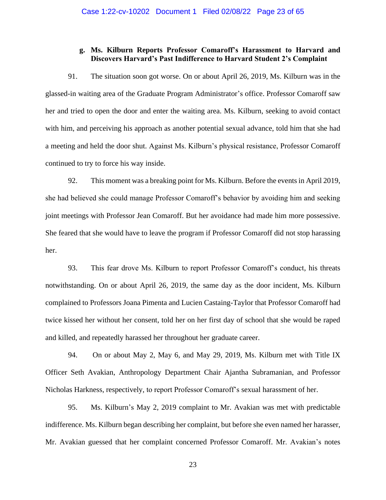# **g. Ms. Kilburn Reports Professor Comaroff's Harassment to Harvard and Discovers Harvard's Past Indifference to Harvard Student 2's Complaint**

91. The situation soon got worse. On or about April 26, 2019, Ms. Kilburn was in the glassed-in waiting area of the Graduate Program Administrator's office. Professor Comaroff saw her and tried to open the door and enter the waiting area. Ms. Kilburn, seeking to avoid contact with him, and perceiving his approach as another potential sexual advance, told him that she had a meeting and held the door shut. Against Ms. Kilburn's physical resistance, Professor Comaroff continued to try to force his way inside.

92. This moment was a breaking point for Ms. Kilburn. Before the events in April 2019, she had believed she could manage Professor Comaroff's behavior by avoiding him and seeking joint meetings with Professor Jean Comaroff. But her avoidance had made him more possessive. She feared that she would have to leave the program if Professor Comaroff did not stop harassing her.

93. This fear drove Ms. Kilburn to report Professor Comaroff's conduct, his threats notwithstanding. On or about April 26, 2019, the same day as the door incident, Ms. Kilburn complained to Professors Joana Pimenta and Lucien Castaing-Taylor that Professor Comaroff had twice kissed her without her consent, told her on her first day of school that she would be raped and killed, and repeatedly harassed her throughout her graduate career.

94. On or about May 2, May 6, and May 29, 2019, Ms. Kilburn met with Title IX Officer Seth Avakian, Anthropology Department Chair Ajantha Subramanian, and Professor Nicholas Harkness, respectively, to report Professor Comaroff's sexual harassment of her.

95. Ms. Kilburn's May 2, 2019 complaint to Mr. Avakian was met with predictable indifference. Ms. Kilburn began describing her complaint, but before she even named her harasser, Mr. Avakian guessed that her complaint concerned Professor Comaroff. Mr. Avakian's notes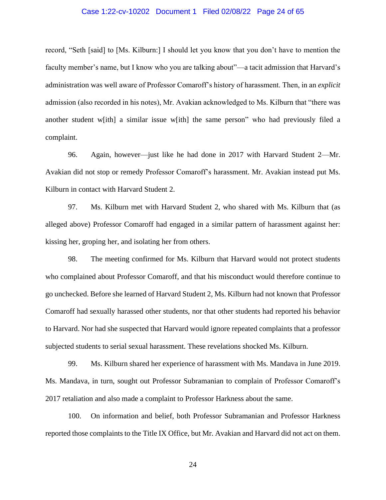## Case 1:22-cv-10202 Document 1 Filed 02/08/22 Page 24 of 65

record, "Seth [said] to [Ms. Kilburn:] I should let you know that you don't have to mention the faculty member's name, but I know who you are talking about"—a tacit admission that Harvard's administration was well aware of Professor Comaroff's history of harassment. Then, in an *explicit* admission (also recorded in his notes), Mr. Avakian acknowledged to Ms. Kilburn that "there was another student w[ith] a similar issue w[ith] the same person" who had previously filed a complaint.

96. Again, however—just like he had done in 2017 with Harvard Student 2—Mr. Avakian did not stop or remedy Professor Comaroff's harassment. Mr. Avakian instead put Ms. Kilburn in contact with Harvard Student 2.

97. Ms. Kilburn met with Harvard Student 2, who shared with Ms. Kilburn that (as alleged above) Professor Comaroff had engaged in a similar pattern of harassment against her: kissing her, groping her, and isolating her from others.

98. The meeting confirmed for Ms. Kilburn that Harvard would not protect students who complained about Professor Comaroff, and that his misconduct would therefore continue to go unchecked. Before she learned of Harvard Student 2, Ms. Kilburn had not known that Professor Comaroff had sexually harassed other students, nor that other students had reported his behavior to Harvard. Nor had she suspected that Harvard would ignore repeated complaints that a professor subjected students to serial sexual harassment. These revelations shocked Ms. Kilburn.

99. Ms. Kilburn shared her experience of harassment with Ms. Mandava in June 2019. Ms. Mandava, in turn, sought out Professor Subramanian to complain of Professor Comaroff's 2017 retaliation and also made a complaint to Professor Harkness about the same.

100. On information and belief, both Professor Subramanian and Professor Harkness reported those complaints to the Title IX Office, but Mr. Avakian and Harvard did not act on them.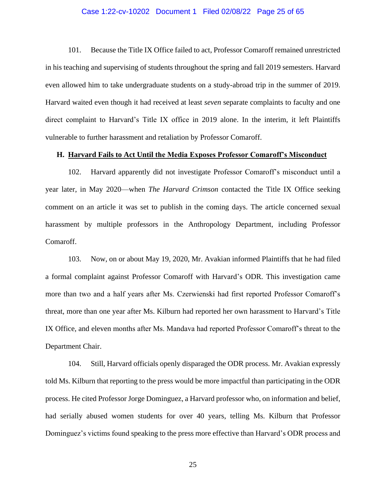## Case 1:22-cv-10202 Document 1 Filed 02/08/22 Page 25 of 65

101. Because the Title IX Office failed to act, Professor Comaroff remained unrestricted in his teaching and supervising of students throughout the spring and fall 2019 semesters. Harvard even allowed him to take undergraduate students on a study-abroad trip in the summer of 2019. Harvard waited even though it had received at least *seven* separate complaints to faculty and one direct complaint to Harvard's Title IX office in 2019 alone. In the interim, it left Plaintiffs vulnerable to further harassment and retaliation by Professor Comaroff.

#### **H. Harvard Fails to Act Until the Media Exposes Professor Comaroff's Misconduct**

102. Harvard apparently did not investigate Professor Comaroff's misconduct until a year later, in May 2020—when *The Harvard Crimson* contacted the Title IX Office seeking comment on an article it was set to publish in the coming days. The article concerned sexual harassment by multiple professors in the Anthropology Department, including Professor Comaroff.

103. Now, on or about May 19, 2020, Mr. Avakian informed Plaintiffs that he had filed a formal complaint against Professor Comaroff with Harvard's ODR. This investigation came more than two and a half years after Ms. Czerwienski had first reported Professor Comaroff's threat, more than one year after Ms. Kilburn had reported her own harassment to Harvard's Title IX Office, and eleven months after Ms. Mandava had reported Professor Comaroff's threat to the Department Chair.

104. Still, Harvard officials openly disparaged the ODR process. Mr. Avakian expressly told Ms. Kilburn that reporting to the press would be more impactful than participating in the ODR process. He cited Professor Jorge Dominguez, a Harvard professor who, on information and belief, had serially abused women students for over 40 years, telling Ms. Kilburn that Professor Dominguez's victims found speaking to the press more effective than Harvard's ODR process and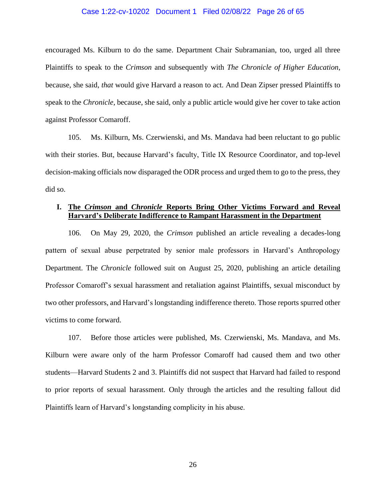#### Case 1:22-cv-10202 Document 1 Filed 02/08/22 Page 26 of 65

encouraged Ms. Kilburn to do the same. Department Chair Subramanian, too, urged all three Plaintiffs to speak to the *Crimson* and subsequently with *The Chronicle of Higher Education*, because, she said, *that* would give Harvard a reason to act. And Dean Zipser pressed Plaintiffs to speak to the *Chronicle*, because, she said, only a public article would give her cover to take action against Professor Comaroff.

105. Ms. Kilburn, Ms. Czerwienski, and Ms. Mandava had been reluctant to go public with their stories. But, because Harvard's faculty, Title IX Resource Coordinator, and top-level decision-making officials now disparaged the ODR process and urged them to go to the press, they did so.

# **I. The** *Crimson* **and** *Chronicle* **Reports Bring Other Victims Forward and Reveal Harvard's Deliberate Indifference to Rampant Harassment in the Department**

106. On May 29, 2020, the *Crimson* published an article revealing a decades-long pattern of sexual abuse perpetrated by senior male professors in Harvard's Anthropology Department. The *Chronicle* followed suit on August 25, 2020, publishing an article detailing Professor Comaroff's sexual harassment and retaliation against Plaintiffs, sexual misconduct by two other professors, and Harvard's longstanding indifference thereto. Those reports spurred other victims to come forward.

107. Before those articles were published, Ms. Czerwienski, Ms. Mandava, and Ms. Kilburn were aware only of the harm Professor Comaroff had caused them and two other students—Harvard Students 2 and 3. Plaintiffs did not suspect that Harvard had failed to respond to prior reports of sexual harassment. Only through the articles and the resulting fallout did Plaintiffs learn of Harvard's longstanding complicity in his abuse.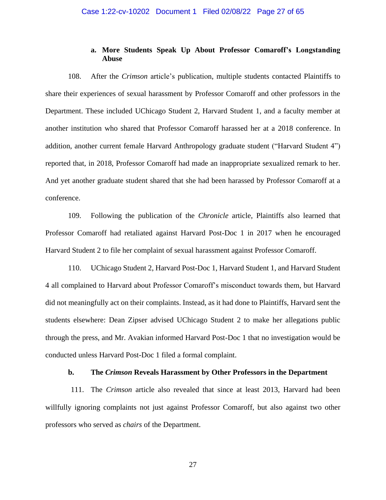# **a. More Students Speak Up About Professor Comaroff's Longstanding Abuse**

108. After the *Crimson* article's publication, multiple students contacted Plaintiffs to share their experiences of sexual harassment by Professor Comaroff and other professors in the Department. These included UChicago Student 2, Harvard Student 1, and a faculty member at another institution who shared that Professor Comaroff harassed her at a 2018 conference. In addition, another current female Harvard Anthropology graduate student ("Harvard Student 4") reported that, in 2018, Professor Comaroff had made an inappropriate sexualized remark to her. And yet another graduate student shared that she had been harassed by Professor Comaroff at a conference.

109. Following the publication of the *Chronicle* article, Plaintiffs also learned that Professor Comaroff had retaliated against Harvard Post-Doc 1 in 2017 when he encouraged Harvard Student 2 to file her complaint of sexual harassment against Professor Comaroff.

110. UChicago Student 2, Harvard Post-Doc 1, Harvard Student 1, and Harvard Student 4 all complained to Harvard about Professor Comaroff's misconduct towards them, but Harvard did not meaningfully act on their complaints. Instead, as it had done to Plaintiffs, Harvard sent the students elsewhere: Dean Zipser advised UChicago Student 2 to make her allegations public through the press, and Mr. Avakian informed Harvard Post-Doc 1 that no investigation would be conducted unless Harvard Post-Doc 1 filed a formal complaint.

# **b. The** *Crimson* **Reveals Harassment by Other Professors in the Department**

111. The *Crimson* article also revealed that since at least 2013, Harvard had been willfully ignoring complaints not just against Professor Comaroff, but also against two other professors who served as *chairs* of the Department.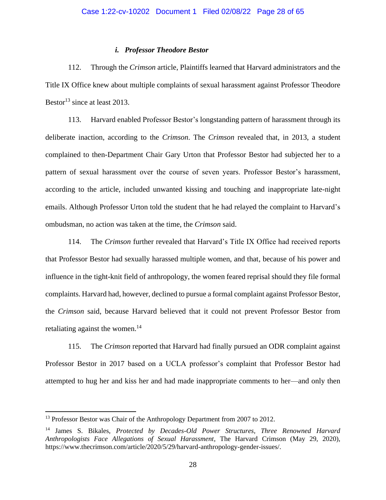# *i. Professor Theodore Bestor*

112. Through the *Crimson* article, Plaintiffs learned that Harvard administrators and the Title IX Office knew about multiple complaints of sexual harassment against Professor Theodore Bestor<sup>13</sup> since at least 2013.

113. Harvard enabled Professor Bestor's longstanding pattern of harassment through its deliberate inaction, according to the *Crimson*. The *Crimson* revealed that, in 2013, a student complained to then-Department Chair Gary Urton that Professor Bestor had subjected her to a pattern of sexual harassment over the course of seven years. Professor Bestor's harassment, according to the article, included unwanted kissing and touching and inappropriate late-night emails. Although Professor Urton told the student that he had relayed the complaint to Harvard's ombudsman, no action was taken at the time, the *Crimson* said.

114. The *Crimson* further revealed that Harvard's Title IX Office had received reports that Professor Bestor had sexually harassed multiple women, and that, because of his power and influence in the tight-knit field of anthropology, the women feared reprisal should they file formal complaints. Harvard had, however, declined to pursue a formal complaint against Professor Bestor, the *Crimson* said, because Harvard believed that it could not prevent Professor Bestor from retaliating against the women.<sup>14</sup>

115. The *Crimson* reported that Harvard had finally pursued an ODR complaint against Professor Bestor in 2017 based on a UCLA professor's complaint that Professor Bestor had attempted to hug her and kiss her and had made inappropriate comments to her—and only then

<sup>&</sup>lt;sup>13</sup> Professor Bestor was Chair of the Anthropology Department from 2007 to 2012.

<sup>14</sup> James S. Bikales, *Protected by Decades-Old Power Structures, Three Renowned Harvard Anthropologists Face Allegations of Sexual Harassment*, The Harvard Crimson (May 29, 2020), https://www.thecrimson.com/article/2020/5/29/harvard-anthropology-gender-issues/.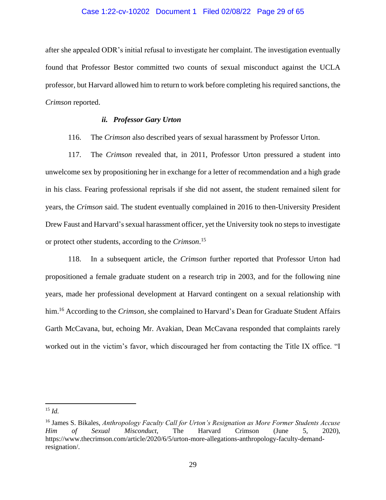## Case 1:22-cv-10202 Document 1 Filed 02/08/22 Page 29 of 65

after she appealed ODR's initial refusal to investigate her complaint. The investigation eventually found that Professor Bestor committed two counts of sexual misconduct against the UCLA professor, but Harvard allowed him to return to work before completing his required sanctions, the *Crimson* reported.

# *ii. Professor Gary Urton*

## 116. The *Crimson* also described years of sexual harassment by Professor Urton.

117. The *Crimson* revealed that, in 2011, Professor Urton pressured a student into unwelcome sex by propositioning her in exchange for a letter of recommendation and a high grade in his class. Fearing professional reprisals if she did not assent, the student remained silent for years, the *Crimson* said. The student eventually complained in 2016 to then-University President Drew Faust and Harvard's sexual harassment officer, yet the University took no steps to investigate or protect other students, according to the *Crimson*. 15

118. In a subsequent article, the *Crimson* further reported that Professor Urton had propositioned a female graduate student on a research trip in 2003, and for the following nine years, made her professional development at Harvard contingent on a sexual relationship with him.<sup>16</sup> According to the *Crimson*, she complained to Harvard's Dean for Graduate Student Affairs Garth McCavana, but, echoing Mr. Avakian, Dean McCavana responded that complaints rarely worked out in the victim's favor, which discouraged her from contacting the Title IX office. "I

<sup>15</sup> *Id.*

<sup>16</sup> James S. Bikales, *Anthropology Faculty Call for Urton's Resignation as More Former Students Accuse Him of Sexual Misconduct*, The Harvard Crimson (June 5, 2020), https://www.thecrimson.com/article/2020/6/5/urton-more-allegations-anthropology-faculty-demandresignation/.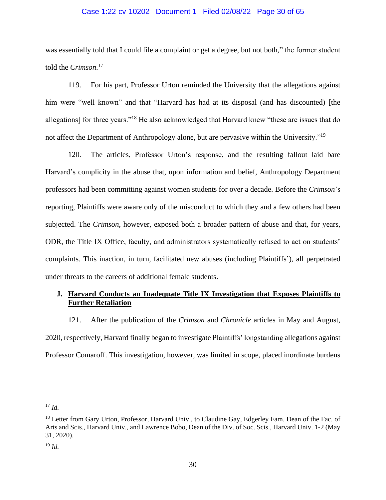# Case 1:22-cv-10202 Document 1 Filed 02/08/22 Page 30 of 65

was essentially told that I could file a complaint or get a degree, but not both," the former student told the *Crimson*. 17

119. For his part, Professor Urton reminded the University that the allegations against him were "well known" and that "Harvard has had at its disposal (and has discounted) [the allegations] for three years."<sup>18</sup> He also acknowledged that Harvard knew "these are issues that do not affect the Department of Anthropology alone, but are pervasive within the University."<sup>19</sup>

120. The articles, Professor Urton's response, and the resulting fallout laid bare Harvard's complicity in the abuse that, upon information and belief, Anthropology Department professors had been committing against women students for over a decade. Before the *Crimson*'s reporting, Plaintiffs were aware only of the misconduct to which they and a few others had been subjected. The *Crimson*, however, exposed both a broader pattern of abuse and that, for years, ODR, the Title IX Office, faculty, and administrators systematically refused to act on students' complaints. This inaction, in turn, facilitated new abuses (including Plaintiffs'), all perpetrated under threats to the careers of additional female students.

# **J. Harvard Conducts an Inadequate Title IX Investigation that Exposes Plaintiffs to Further Retaliation**

121. After the publication of the *Crimson* and *Chronicle* articles in May and August, 2020, respectively, Harvard finally began to investigate Plaintiffs' longstanding allegations against Professor Comaroff. This investigation, however, was limited in scope, placed inordinate burdens

<sup>17</sup> *Id.*

<sup>&</sup>lt;sup>18</sup> Letter from Gary Urton, Professor, Harvard Univ., to Claudine Gay, Edgerley Fam. Dean of the Fac. of Arts and Scis., Harvard Univ., and Lawrence Bobo, Dean of the Div. of Soc. Scis., Harvard Univ. 1-2 (May 31, 2020).

<sup>19</sup> *Id.*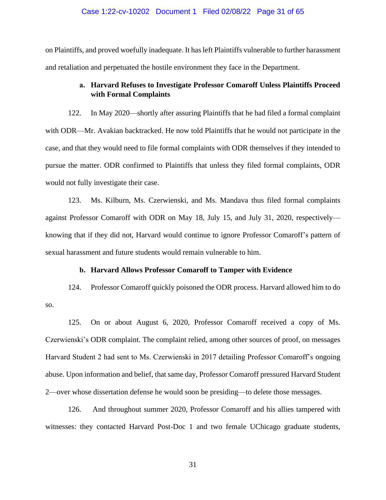#### Case 1:22-cv-10202 Document 1 Filed 02/08/22 Page 31 of 65

on Plaintiffs, and proved woefully inadequate. It has left Plaintiffs vulnerable to further harassment and retaliation and perpetuated the hostile environment they face in the Department.

# **a. Harvard Refuses to Investigate Professor Comaroff Unless Plaintiffs Proceed with Formal Complaints**

122. In May 2020—shortly after assuring Plaintiffs that he had filed a formal complaint with ODR—Mr. Avakian backtracked. He now told Plaintiffs that he would not participate in the case, and that they would need to file formal complaints with ODR themselves if they intended to pursue the matter. ODR confirmed to Plaintiffs that unless they filed formal complaints, ODR would not fully investigate their case.

123. Ms. Kilburn, Ms. Czerwienski, and Ms. Mandava thus filed formal complaints against Professor Comaroff with ODR on May 18, July 15, and July 31, 2020, respectively knowing that if they did not, Harvard would continue to ignore Professor Comaroff's pattern of sexual harassment and future students would remain vulnerable to him.

#### **b. Harvard Allows Professor Comaroff to Tamper with Evidence**

124. Professor Comaroff quickly poisoned the ODR process. Harvard allowed him to do so.

125. On or about August 6, 2020, Professor Comaroff received a copy of Ms. Czerwienski's ODR complaint. The complaint relied, among other sources of proof, on messages Harvard Student 2 had sent to Ms. Czerwienski in 2017 detailing Professor Comaroff's ongoing abuse. Upon information and belief, that same day, Professor Comaroff pressured Harvard Student 2—over whose dissertation defense he would soon be presiding—to delete those messages.

126. And throughout summer 2020, Professor Comaroff and his allies tampered with witnesses: they contacted Harvard Post-Doc 1 and two female UChicago graduate students,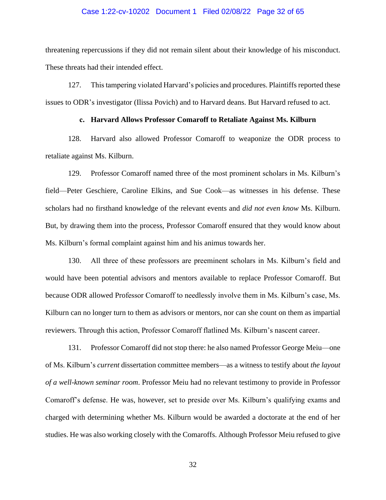#### Case 1:22-cv-10202 Document 1 Filed 02/08/22 Page 32 of 65

threatening repercussions if they did not remain silent about their knowledge of his misconduct. These threats had their intended effect.

127. This tampering violated Harvard's policies and procedures. Plaintiffs reported these issues to ODR's investigator (Ilissa Povich) and to Harvard deans. But Harvard refused to act.

# **c. Harvard Allows Professor Comaroff to Retaliate Against Ms. Kilburn**

128. Harvard also allowed Professor Comaroff to weaponize the ODR process to retaliate against Ms. Kilburn.

129. Professor Comaroff named three of the most prominent scholars in Ms. Kilburn's field—Peter Geschiere, Caroline Elkins, and Sue Cook—as witnesses in his defense. These scholars had no firsthand knowledge of the relevant events and *did not even know* Ms. Kilburn. But, by drawing them into the process, Professor Comaroff ensured that they would know about Ms. Kilburn's formal complaint against him and his animus towards her.

130. All three of these professors are preeminent scholars in Ms. Kilburn's field and would have been potential advisors and mentors available to replace Professor Comaroff. But because ODR allowed Professor Comaroff to needlessly involve them in Ms. Kilburn's case, Ms. Kilburn can no longer turn to them as advisors or mentors, nor can she count on them as impartial reviewers. Through this action, Professor Comaroff flatlined Ms. Kilburn's nascent career.

131. Professor Comaroff did not stop there: he also named Professor George Meiu—one of Ms. Kilburn's *current* dissertation committee members—as a witness to testify about *the layout of a well-known seminar room*. Professor Meiu had no relevant testimony to provide in Professor Comaroff's defense. He was, however, set to preside over Ms. Kilburn's qualifying exams and charged with determining whether Ms. Kilburn would be awarded a doctorate at the end of her studies. He was also working closely with the Comaroffs. Although Professor Meiu refused to give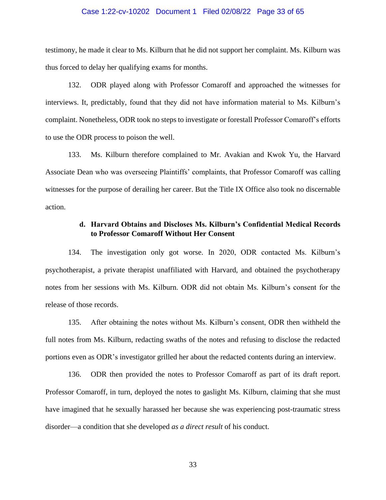#### Case 1:22-cv-10202 Document 1 Filed 02/08/22 Page 33 of 65

testimony, he made it clear to Ms. Kilburn that he did not support her complaint. Ms. Kilburn was thus forced to delay her qualifying exams for months.

132. ODR played along with Professor Comaroff and approached the witnesses for interviews. It, predictably, found that they did not have information material to Ms. Kilburn's complaint. Nonetheless, ODR took no steps to investigate or forestall Professor Comaroff's efforts to use the ODR process to poison the well.

133. Ms. Kilburn therefore complained to Mr. Avakian and Kwok Yu, the Harvard Associate Dean who was overseeing Plaintiffs' complaints, that Professor Comaroff was calling witnesses for the purpose of derailing her career. But the Title IX Office also took no discernable action.

# **d. Harvard Obtains and Discloses Ms. Kilburn's Confidential Medical Records to Professor Comaroff Without Her Consent**

134. The investigation only got worse. In 2020, ODR contacted Ms. Kilburn's psychotherapist, a private therapist unaffiliated with Harvard, and obtained the psychotherapy notes from her sessions with Ms. Kilburn. ODR did not obtain Ms. Kilburn's consent for the release of those records.

135. After obtaining the notes without Ms. Kilburn's consent, ODR then withheld the full notes from Ms. Kilburn, redacting swaths of the notes and refusing to disclose the redacted portions even as ODR's investigator grilled her about the redacted contents during an interview.

136. ODR then provided the notes to Professor Comaroff as part of its draft report. Professor Comaroff, in turn, deployed the notes to gaslight Ms. Kilburn, claiming that she must have imagined that he sexually harassed her because she was experiencing post-traumatic stress disorder—a condition that she developed *as a direct result* of his conduct.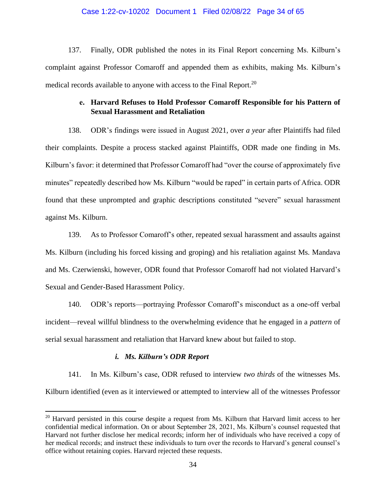## Case 1:22-cv-10202 Document 1 Filed 02/08/22 Page 34 of 65

137. Finally, ODR published the notes in its Final Report concerning Ms. Kilburn's complaint against Professor Comaroff and appended them as exhibits, making Ms. Kilburn's medical records available to anyone with access to the Final Report.<sup>20</sup>

# **e. Harvard Refuses to Hold Professor Comaroff Responsible for his Pattern of Sexual Harassment and Retaliation**

138. ODR's findings were issued in August 2021, over *a year* after Plaintiffs had filed their complaints. Despite a process stacked against Plaintiffs, ODR made one finding in Ms. Kilburn's favor: it determined that Professor Comaroff had "over the course of approximately five minutes" repeatedly described how Ms. Kilburn "would be raped" in certain parts of Africa. ODR found that these unprompted and graphic descriptions constituted "severe" sexual harassment against Ms. Kilburn.

139. As to Professor Comaroff's other, repeated sexual harassment and assaults against Ms. Kilburn (including his forced kissing and groping) and his retaliation against Ms. Mandava and Ms. Czerwienski, however, ODR found that Professor Comaroff had not violated Harvard's Sexual and Gender-Based Harassment Policy.

140. ODR's reports—portraying Professor Comaroff's misconduct as a one-off verbal incident—reveal willful blindness to the overwhelming evidence that he engaged in a *pattern* of serial sexual harassment and retaliation that Harvard knew about but failed to stop.

# *i. Ms. Kilburn's ODR Report*

141. In Ms. Kilburn's case, ODR refused to interview *two thirds* of the witnesses Ms. Kilburn identified (even as it interviewed or attempted to interview all of the witnesses Professor

<sup>&</sup>lt;sup>20</sup> Harvard persisted in this course despite a request from Ms. Kilburn that Harvard limit access to her confidential medical information. On or about September 28, 2021, Ms. Kilburn's counsel requested that Harvard not further disclose her medical records; inform her of individuals who have received a copy of her medical records; and instruct these individuals to turn over the records to Harvard's general counsel's office without retaining copies. Harvard rejected these requests.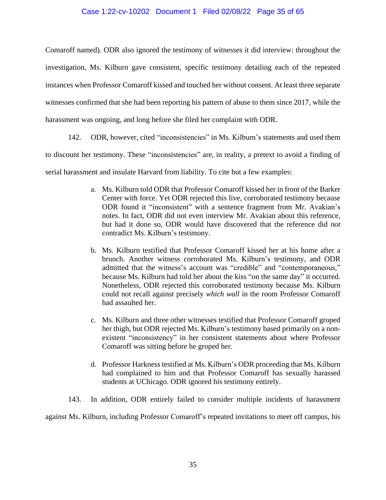# Case 1:22-cv-10202 Document 1 Filed 02/08/22 Page 35 of 65

Comaroff named). ODR also ignored the testimony of witnesses it did interview: throughout the investigation, Ms. Kilburn gave consistent, specific testimony detailing each of the repeated instances when Professor Comaroff kissed and touched her without consent. At least three separate witnesses confirmed that she had been reporting his pattern of abuse to them since 2017, while the harassment was ongoing, and long before she filed her complaint with ODR.

142. ODR, however, cited "inconsistencies" in Ms. Kilburn's statements and used them to discount her testimony. These "inconsistencies" are, in reality, a pretext to avoid a finding of serial harassment and insulate Harvard from liability. To cite but a few examples:

- a. Ms. Kilburn told ODR that Professor Comaroff kissed her in front of the Barker Center with force. Yet ODR rejected this live, corroborated testimony because ODR found it "inconsistent" with a sentence fragment from Mr. Avakian's notes. In fact, ODR did not even interview Mr. Avakian about this reference, but had it done so, ODR would have discovered that the reference did *not* contradict Ms. Kilburn's testimony.
- b. Ms. Kilburn testified that Professor Comaroff kissed her at his home after a brunch. Another witness corroborated Ms. Kilburn's testimony, and ODR admitted that the witness's account was "credible" and "contemporaneous," because Ms. Kilburn had told her about the kiss "on the same day" it occurred. Nonetheless, ODR rejected this corroborated testimony because Ms. Kilburn could not recall against precisely *which wall* in the room Professor Comaroff had assaulted her.
- c. Ms. Kilburn and three other witnesses testified that Professor Comaroff groped her thigh, but ODR rejected Ms. Kilburn's testimony based primarily on a nonexistent "inconsistency" in her consistent statements about where Professor Comaroff was sitting before he groped her.
- d. Professor Harkness testified at Ms. Kilburn's ODR proceeding that Ms. Kilburn had complained to him and that Professor Comaroff has sexually harassed students at UChicago. ODR ignored his testimony entirely.
- 143. In addition, ODR entirely failed to consider multiple incidents of harassment

against Ms. Kilburn, including Professor Comaroff's repeated invitations to meet off campus, his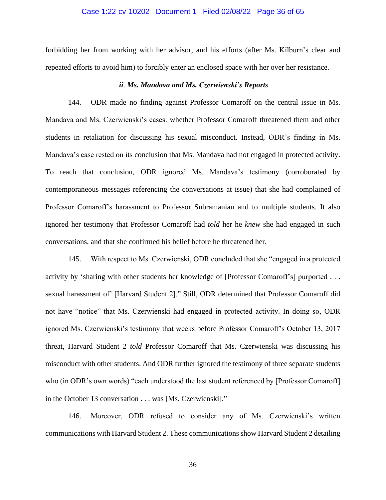#### Case 1:22-cv-10202 Document 1 Filed 02/08/22 Page 36 of 65

forbidding her from working with her advisor, and his efforts (after Ms. Kilburn's clear and repeated efforts to avoid him) to forcibly enter an enclosed space with her over her resistance.

#### *ii*. *Ms. Mandava and Ms. Czerwienski's Reports*

144. ODR made no finding against Professor Comaroff on the central issue in Ms. Mandava and Ms. Czerwienski's cases: whether Professor Comaroff threatened them and other students in retaliation for discussing his sexual misconduct. Instead, ODR's finding in Ms. Mandava's case rested on its conclusion that Ms. Mandava had not engaged in protected activity. To reach that conclusion, ODR ignored Ms. Mandava's testimony (corroborated by contemporaneous messages referencing the conversations at issue) that she had complained of Professor Comaroff's harassment to Professor Subramanian and to multiple students. It also ignored her testimony that Professor Comaroff had *told* her he *knew* she had engaged in such conversations, and that she confirmed his belief before he threatened her.

145. With respect to Ms. Czerwienski, ODR concluded that she "engaged in a protected activity by 'sharing with other students her knowledge of [Professor Comaroff's] purported . . . sexual harassment of' [Harvard Student 2]." Still, ODR determined that Professor Comaroff did not have "notice" that Ms. Czerwienski had engaged in protected activity. In doing so, ODR ignored Ms. Czerwienski's testimony that weeks before Professor Comaroff's October 13, 2017 threat, Harvard Student 2 *told* Professor Comaroff that Ms. Czerwienski was discussing his misconduct with other students. And ODR further ignored the testimony of three separate students who (in ODR's own words) "each understood the last student referenced by [Professor Comaroff] in the October 13 conversation . . . was [Ms. Czerwienski]."

146. Moreover, ODR refused to consider any of Ms. Czerwienski's written communications with Harvard Student 2. These communications show Harvard Student 2 detailing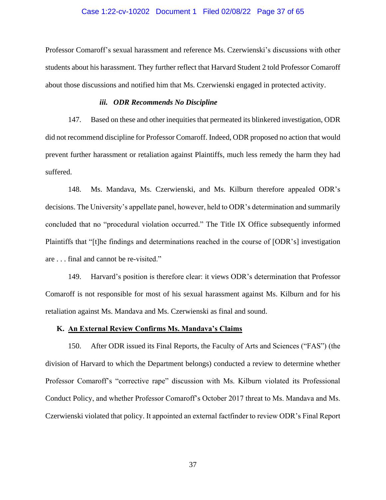## Case 1:22-cv-10202 Document 1 Filed 02/08/22 Page 37 of 65

Professor Comaroff's sexual harassment and reference Ms. Czerwienski's discussions with other students about his harassment. They further reflect that Harvard Student 2 told Professor Comaroff about those discussions and notified him that Ms. Czerwienski engaged in protected activity.

# *iii. ODR Recommends No Discipline*

147. Based on these and other inequities that permeated its blinkered investigation, ODR did not recommend discipline for Professor Comaroff. Indeed, ODR proposed no action that would prevent further harassment or retaliation against Plaintiffs, much less remedy the harm they had suffered.

148. Ms. Mandava, Ms. Czerwienski, and Ms. Kilburn therefore appealed ODR's decisions. The University's appellate panel, however, held to ODR's determination and summarily concluded that no "procedural violation occurred." The Title IX Office subsequently informed Plaintiffs that "[t]he findings and determinations reached in the course of [ODR's] investigation are . . . final and cannot be re-visited."

149. Harvard's position is therefore clear: it views ODR's determination that Professor Comaroff is not responsible for most of his sexual harassment against Ms. Kilburn and for his retaliation against Ms. Mandava and Ms. Czerwienski as final and sound.

# **K. An External Review Confirms Ms. Mandava's Claims**

150. After ODR issued its Final Reports, the Faculty of Arts and Sciences ("FAS") (the division of Harvard to which the Department belongs) conducted a review to determine whether Professor Comaroff's "corrective rape" discussion with Ms. Kilburn violated its Professional Conduct Policy, and whether Professor Comaroff's October 2017 threat to Ms. Mandava and Ms. Czerwienski violated that policy. It appointed an external factfinder to review ODR's Final Report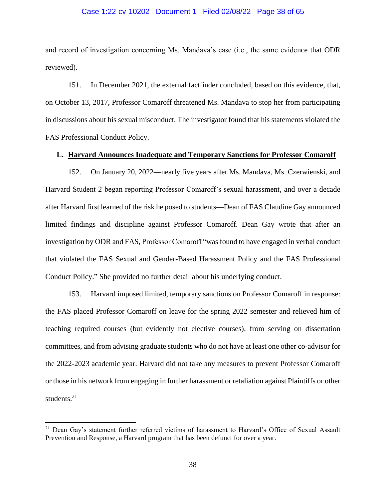#### Case 1:22-cv-10202 Document 1 Filed 02/08/22 Page 38 of 65

and record of investigation concerning Ms. Mandava's case (i.e., the same evidence that ODR reviewed).

151. In December 2021, the external factfinder concluded, based on this evidence, that, on October 13, 2017, Professor Comaroff threatened Ms. Mandava to stop her from participating in discussions about his sexual misconduct. The investigator found that his statements violated the FAS Professional Conduct Policy.

#### **L. Harvard Announces Inadequate and Temporary Sanctions for Professor Comaroff**

152. On January 20, 2022—nearly five years after Ms. Mandava, Ms. Czerwienski, and Harvard Student 2 began reporting Professor Comaroff's sexual harassment, and over a decade after Harvard first learned of the risk he posed to students—Dean of FAS Claudine Gay announced limited findings and discipline against Professor Comaroff. Dean Gay wrote that after an investigation by ODR and FAS, Professor Comaroff "was found to have engaged in verbal conduct that violated the FAS Sexual and Gender-Based Harassment Policy and the FAS Professional Conduct Policy." She provided no further detail about his underlying conduct.

153. Harvard imposed limited, temporary sanctions on Professor Comaroff in response: the FAS placed Professor Comaroff on leave for the spring 2022 semester and relieved him of teaching required courses (but evidently not elective courses), from serving on dissertation committees, and from advising graduate students who do not have at least one other co-advisor for the 2022-2023 academic year. Harvard did not take any measures to prevent Professor Comaroff or those in his network from engaging in further harassment or retaliation against Plaintiffs or other students. $21$ 

<sup>&</sup>lt;sup>21</sup> Dean Gay's statement further referred victims of harassment to Harvard's Office of Sexual Assault Prevention and Response, a Harvard program that has been defunct for over a year.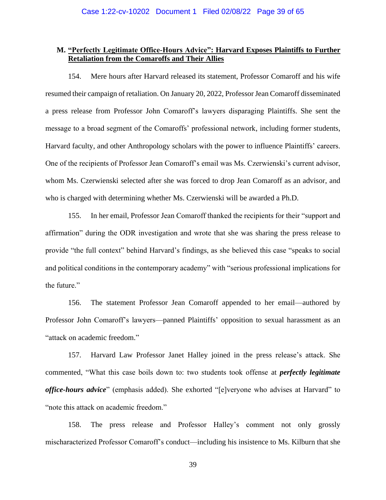# **M. "Perfectly Legitimate Office-Hours Advice": Harvard Exposes Plaintiffs to Further Retaliation from the Comaroffs and Their Allies**

154. Mere hours after Harvard released its statement, Professor Comaroff and his wife resumed their campaign of retaliation. On January 20, 2022, Professor Jean Comaroff disseminated a press release from Professor John Comaroff's lawyers disparaging Plaintiffs. She sent the message to a broad segment of the Comaroffs' professional network, including former students, Harvard faculty, and other Anthropology scholars with the power to influence Plaintiffs' careers. One of the recipients of Professor Jean Comaroff's email was Ms. Czerwienski's current advisor, whom Ms. Czerwienski selected after she was forced to drop Jean Comaroff as an advisor, and who is charged with determining whether Ms. Czerwienski will be awarded a Ph.D.

155. In her email, Professor Jean Comaroff thanked the recipients for their "support and affirmation" during the ODR investigation and wrote that she was sharing the press release to provide "the full context" behind Harvard's findings, as she believed this case "speaks to social and political conditions in the contemporary academy" with "serious professional implications for the future."

156. The statement Professor Jean Comaroff appended to her email—authored by Professor John Comaroff's lawyers—panned Plaintiffs' opposition to sexual harassment as an "attack on academic freedom."

157. Harvard Law Professor Janet Halley joined in the press release's attack. She commented, "What this case boils down to: two students took offense at *perfectly legitimate office-hours advice*" (emphasis added). She exhorted "[e]veryone who advises at Harvard" to "note this attack on academic freedom."

158. The press release and Professor Halley's comment not only grossly mischaracterized Professor Comaroff's conduct—including his insistence to Ms. Kilburn that she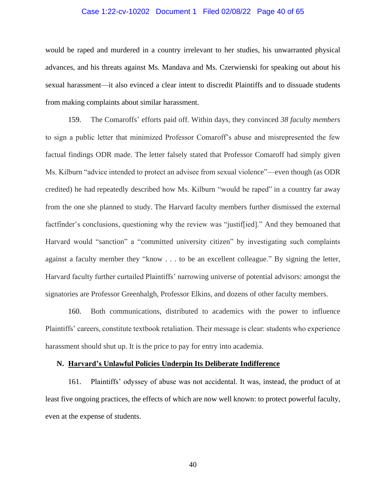## Case 1:22-cv-10202 Document 1 Filed 02/08/22 Page 40 of 65

would be raped and murdered in a country irrelevant to her studies, his unwarranted physical advances, and his threats against Ms. Mandava and Ms. Czerwienski for speaking out about his sexual harassment—it also evinced a clear intent to discredit Plaintiffs and to dissuade students from making complaints about similar harassment.

159. The Comaroffs' efforts paid off. Within days, they convinced *38 faculty members* to sign a public letter that minimized Professor Comaroff's abuse and misrepresented the few factual findings ODR made. The letter falsely stated that Professor Comaroff had simply given Ms. Kilburn "advice intended to protect an advisee from sexual violence"—even though (as ODR credited) he had repeatedly described how Ms. Kilburn "would be raped" in a country far away from the one she planned to study. The Harvard faculty members further dismissed the external factfinder's conclusions, questioning why the review was "justiffied]." And they bemoaned that Harvard would "sanction" a "committed university citizen" by investigating such complaints against a faculty member they "know . . . to be an excellent colleague." By signing the letter, Harvard faculty further curtailed Plaintiffs' narrowing universe of potential advisors: amongst the signatories are Professor Greenhalgh, Professor Elkins, and dozens of other faculty members.

160. Both communications, distributed to academics with the power to influence Plaintiffs' careers, constitute textbook retaliation. Their message is clear: students who experience harassment should shut up. It is the price to pay for entry into academia.

#### **N. Harvard's Unlawful Policies Underpin Its Deliberate Indifference**

161. Plaintiffs' odyssey of abuse was not accidental. It was, instead, the product of at least five ongoing practices, the effects of which are now well known: to protect powerful faculty, even at the expense of students.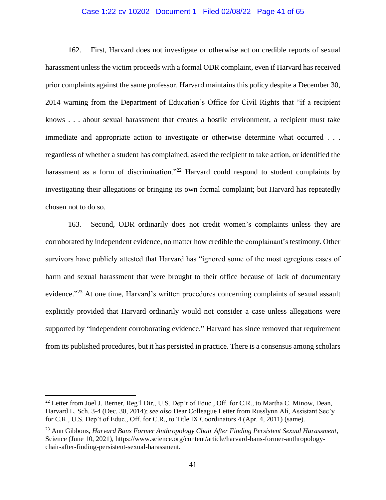## Case 1:22-cv-10202 Document 1 Filed 02/08/22 Page 41 of 65

162. First, Harvard does not investigate or otherwise act on credible reports of sexual harassment unless the victim proceeds with a formal ODR complaint, even if Harvard has received prior complaints against the same professor. Harvard maintains this policy despite a December 30, 2014 warning from the Department of Education's Office for Civil Rights that "if a recipient knows . . . about sexual harassment that creates a hostile environment, a recipient must take immediate and appropriate action to investigate or otherwise determine what occurred . . . regardless of whether a student has complained, asked the recipient to take action, or identified the harassment as a form of discrimination."<sup>22</sup> Harvard could respond to student complaints by investigating their allegations or bringing its own formal complaint; but Harvard has repeatedly chosen not to do so.

163. Second, ODR ordinarily does not credit women's complaints unless they are corroborated by independent evidence, no matter how credible the complainant's testimony. Other survivors have publicly attested that Harvard has "ignored some of the most egregious cases of harm and sexual harassment that were brought to their office because of lack of documentary evidence."<sup>23</sup> At one time, Harvard's written procedures concerning complaints of sexual assault explicitly provided that Harvard ordinarily would not consider a case unless allegations were supported by "independent corroborating evidence." Harvard has since removed that requirement from its published procedures, but it has persisted in practice. There is a consensus among scholars

<sup>&</sup>lt;sup>22</sup> Letter from Joel J. Berner, Reg'l Dir., U.S. Dep't of Educ., Off. for C.R., to Martha C. Minow, Dean, Harvard L. Sch. 3-4 (Dec. 30, 2014); *see also* Dear Colleague Letter from Russlynn Ali, Assistant Sec'y for C.R., U.S. Dep't of Educ., Off. for C.R., to Title IX Coordinators 4 (Apr. 4, 2011) (same).

<sup>23</sup> Ann Gibbons, *Harvard Bans Former Anthropology Chair After Finding Persistent Sexual Harassment*, Science (June 10, 2021), https://www.science.org/content/article/harvard-bans-former-anthropologychair-after-finding-persistent-sexual-harassment.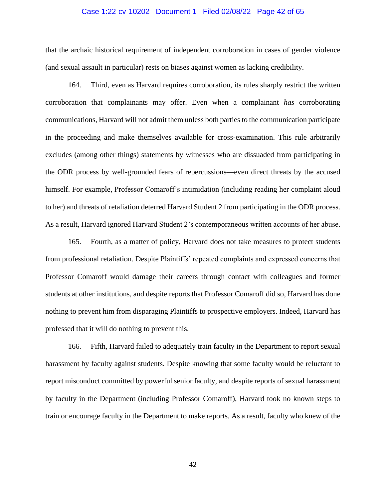## Case 1:22-cv-10202 Document 1 Filed 02/08/22 Page 42 of 65

that the archaic historical requirement of independent corroboration in cases of gender violence (and sexual assault in particular) rests on biases against women as lacking credibility.

164. Third, even as Harvard requires corroboration, its rules sharply restrict the written corroboration that complainants may offer. Even when a complainant *has* corroborating communications, Harvard will not admit them unless both parties to the communication participate in the proceeding and make themselves available for cross-examination. This rule arbitrarily excludes (among other things) statements by witnesses who are dissuaded from participating in the ODR process by well-grounded fears of repercussions—even direct threats by the accused himself. For example, Professor Comaroff's intimidation (including reading her complaint aloud to her) and threats of retaliation deterred Harvard Student 2 from participating in the ODR process. As a result, Harvard ignored Harvard Student 2's contemporaneous written accounts of her abuse.

165. Fourth, as a matter of policy, Harvard does not take measures to protect students from professional retaliation. Despite Plaintiffs' repeated complaints and expressed concerns that Professor Comaroff would damage their careers through contact with colleagues and former students at other institutions, and despite reports that Professor Comaroff did so, Harvard has done nothing to prevent him from disparaging Plaintiffs to prospective employers. Indeed, Harvard has professed that it will do nothing to prevent this.

166. Fifth, Harvard failed to adequately train faculty in the Department to report sexual harassment by faculty against students. Despite knowing that some faculty would be reluctant to report misconduct committed by powerful senior faculty, and despite reports of sexual harassment by faculty in the Department (including Professor Comaroff), Harvard took no known steps to train or encourage faculty in the Department to make reports. As a result, faculty who knew of the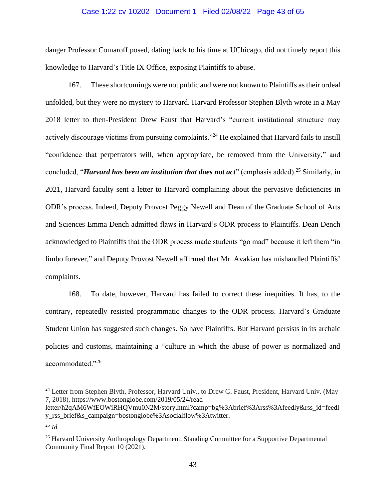## Case 1:22-cv-10202 Document 1 Filed 02/08/22 Page 43 of 65

danger Professor Comaroff posed, dating back to his time at UChicago, did not timely report this knowledge to Harvard's Title IX Office, exposing Plaintiffs to abuse.

167. These shortcomings were not public and were not known to Plaintiffs as their ordeal unfolded, but they were no mystery to Harvard. Harvard Professor Stephen Blyth wrote in a May 2018 letter to then-President Drew Faust that Harvard's "current institutional structure may actively discourage victims from pursuing complaints."<sup>24</sup> He explained that Harvard fails to instill "confidence that perpetrators will, when appropriate, be removed from the University," and concluded, "*Harvard has been an institution that does not act*" (emphasis added). <sup>25</sup> Similarly, in 2021, Harvard faculty sent a letter to Harvard complaining about the pervasive deficiencies in ODR's process. Indeed, Deputy Provost Peggy Newell and Dean of the Graduate School of Arts and Sciences Emma Dench admitted flaws in Harvard's ODR process to Plaintiffs. Dean Dench acknowledged to Plaintiffs that the ODR process made students "go mad" because it left them "in limbo forever," and Deputy Provost Newell affirmed that Mr. Avakian has mishandled Plaintiffs' complaints.

168. To date, however, Harvard has failed to correct these inequities. It has, to the contrary, repeatedly resisted programmatic changes to the ODR process. Harvard's Graduate Student Union has suggested such changes. So have Plaintiffs. But Harvard persists in its archaic policies and customs, maintaining a "culture in which the abuse of power is normalized and accommodated."<sup>26</sup>

<sup>&</sup>lt;sup>24</sup> Letter from Stephen Blyth, Professor, Harvard Univ., to Drew G. Faust, President, Harvard Univ. (May 7, 2018), https://www.bostonglobe.com/2019/05/24/read-

letter/h2qAM6WfEOWiRHQVmu0N2M/story.html?camp=bg%3Abrief%3Arss%3Afeedly&rss\_id=feedl y\_rss\_brief&s\_campaign=bostonglobe%3Asocialflow%3Atwitter.

<sup>25</sup> *Id.*

<sup>&</sup>lt;sup>26</sup> Harvard University Anthropology Department, Standing Committee for a Supportive Departmental Community Final Report 10 (2021).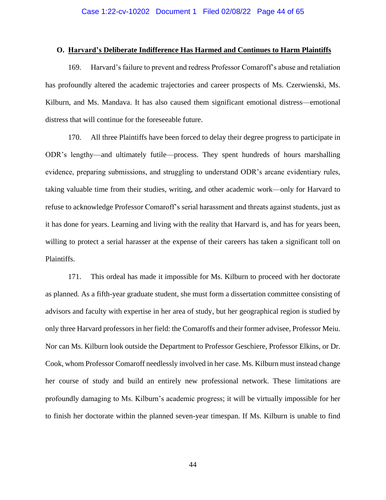## **O. Harvard's Deliberate Indifference Has Harmed and Continues to Harm Plaintiffs**

169. Harvard's failure to prevent and redress Professor Comaroff's abuse and retaliation has profoundly altered the academic trajectories and career prospects of Ms. Czerwienski, Ms. Kilburn, and Ms. Mandava. It has also caused them significant emotional distress—emotional distress that will continue for the foreseeable future.

170. All three Plaintiffs have been forced to delay their degree progress to participate in ODR's lengthy—and ultimately futile—process. They spent hundreds of hours marshalling evidence, preparing submissions, and struggling to understand ODR's arcane evidentiary rules, taking valuable time from their studies, writing, and other academic work—only for Harvard to refuse to acknowledge Professor Comaroff's serial harassment and threats against students, just as it has done for years. Learning and living with the reality that Harvard is, and has for years been, willing to protect a serial harasser at the expense of their careers has taken a significant toll on Plaintiffs.

171. This ordeal has made it impossible for Ms. Kilburn to proceed with her doctorate as planned. As a fifth-year graduate student, she must form a dissertation committee consisting of advisors and faculty with expertise in her area of study, but her geographical region is studied by only three Harvard professors in her field: the Comaroffs and their former advisee, Professor Meiu. Nor can Ms. Kilburn look outside the Department to Professor Geschiere, Professor Elkins, or Dr. Cook, whom Professor Comaroff needlessly involved in her case. Ms. Kilburn must instead change her course of study and build an entirely new professional network. These limitations are profoundly damaging to Ms. Kilburn's academic progress; it will be virtually impossible for her to finish her doctorate within the planned seven-year timespan. If Ms. Kilburn is unable to find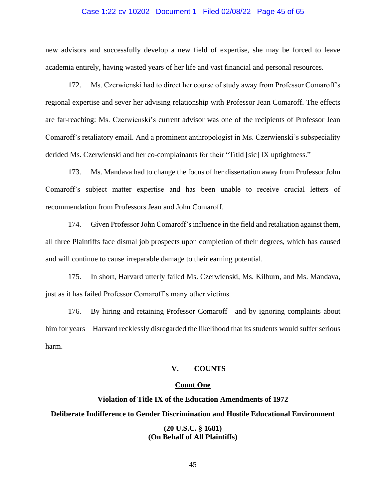## Case 1:22-cv-10202 Document 1 Filed 02/08/22 Page 45 of 65

new advisors and successfully develop a new field of expertise, she may be forced to leave academia entirely, having wasted years of her life and vast financial and personal resources.

172. Ms. Czerwienski had to direct her course of study away from Professor Comaroff's regional expertise and sever her advising relationship with Professor Jean Comaroff. The effects are far-reaching: Ms. Czerwienski's current advisor was one of the recipients of Professor Jean Comaroff's retaliatory email. And a prominent anthropologist in Ms. Czerwienski's subspeciality derided Ms. Czerwienski and her co-complainants for their "Titld [sic] IX uptightness."

173. Ms. Mandava had to change the focus of her dissertation away from Professor John Comaroff's subject matter expertise and has been unable to receive crucial letters of recommendation from Professors Jean and John Comaroff.

174. Given Professor John Comaroff's influence in the field and retaliation against them, all three Plaintiffs face dismal job prospects upon completion of their degrees, which has caused and will continue to cause irreparable damage to their earning potential.

175. In short, Harvard utterly failed Ms. Czerwienski, Ms. Kilburn, and Ms. Mandava, just as it has failed Professor Comaroff's many other victims.

176. By hiring and retaining Professor Comaroff—and by ignoring complaints about him for years—Harvard recklessly disregarded the likelihood that its students would suffer serious harm.

#### **V. COUNTS**

# **Count One**

# **Violation of Title IX of the Education Amendments of 1972 Deliberate Indifference to Gender Discrimination and Hostile Educational Environment**

# **(20 U.S.C. § 1681) (On Behalf of All Plaintiffs)**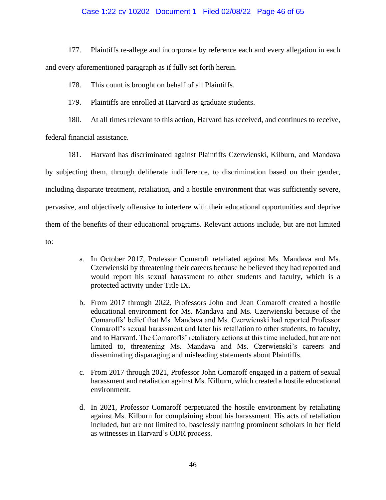# Case 1:22-cv-10202 Document 1 Filed 02/08/22 Page 46 of 65

177. Plaintiffs re-allege and incorporate by reference each and every allegation in each and every aforementioned paragraph as if fully set forth herein.

178. This count is brought on behalf of all Plaintiffs.

179. Plaintiffs are enrolled at Harvard as graduate students.

180. At all times relevant to this action, Harvard has received, and continues to receive,

federal financial assistance.

181. Harvard has discriminated against Plaintiffs Czerwienski, Kilburn, and Mandava by subjecting them, through deliberate indifference, to discrimination based on their gender, including disparate treatment, retaliation, and a hostile environment that was sufficiently severe, pervasive, and objectively offensive to interfere with their educational opportunities and deprive them of the benefits of their educational programs. Relevant actions include, but are not limited to:

- a. In October 2017, Professor Comaroff retaliated against Ms. Mandava and Ms. Czerwienski by threatening their careers because he believed they had reported and would report his sexual harassment to other students and faculty, which is a protected activity under Title IX.
- b. From 2017 through 2022, Professors John and Jean Comaroff created a hostile educational environment for Ms. Mandava and Ms. Czerwienski because of the Comaroffs' belief that Ms. Mandava and Ms. Czerwienski had reported Professor Comaroff's sexual harassment and later his retaliation to other students, to faculty, and to Harvard. The Comaroffs' retaliatory actions at this time included, but are not limited to, threatening Ms. Mandava and Ms. Czerwienski's careers and disseminating disparaging and misleading statements about Plaintiffs.
- c. From 2017 through 2021, Professor John Comaroff engaged in a pattern of sexual harassment and retaliation against Ms. Kilburn, which created a hostile educational environment.
- d. In 2021, Professor Comaroff perpetuated the hostile environment by retaliating against Ms. Kilburn for complaining about his harassment. His acts of retaliation included, but are not limited to, baselessly naming prominent scholars in her field as witnesses in Harvard's ODR process.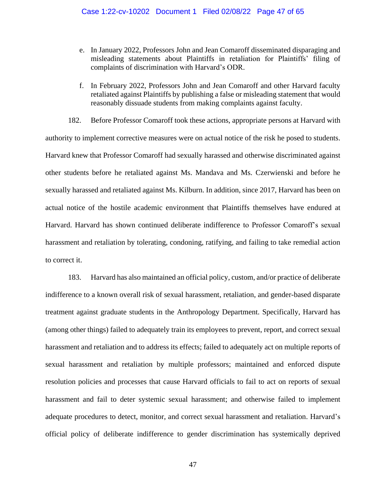- e. In January 2022, Professors John and Jean Comaroff disseminated disparaging and misleading statements about Plaintiffs in retaliation for Plaintiffs' filing of complaints of discrimination with Harvard's ODR.
- f. In February 2022, Professors John and Jean Comaroff and other Harvard faculty retaliated against Plaintiffs by publishing a false or misleading statement that would reasonably dissuade students from making complaints against faculty.

182. Before Professor Comaroff took these actions, appropriate persons at Harvard with authority to implement corrective measures were on actual notice of the risk he posed to students. Harvard knew that Professor Comaroff had sexually harassed and otherwise discriminated against other students before he retaliated against Ms. Mandava and Ms. Czerwienski and before he sexually harassed and retaliated against Ms. Kilburn. In addition, since 2017, Harvard has been on actual notice of the hostile academic environment that Plaintiffs themselves have endured at Harvard. Harvard has shown continued deliberate indifference to Professor Comaroff's sexual harassment and retaliation by tolerating, condoning, ratifying, and failing to take remedial action to correct it.

183. Harvard has also maintained an official policy, custom, and/or practice of deliberate indifference to a known overall risk of sexual harassment, retaliation, and gender-based disparate treatment against graduate students in the Anthropology Department. Specifically, Harvard has (among other things) failed to adequately train its employees to prevent, report, and correct sexual harassment and retaliation and to address its effects; failed to adequately act on multiple reports of sexual harassment and retaliation by multiple professors; maintained and enforced dispute resolution policies and processes that cause Harvard officials to fail to act on reports of sexual harassment and fail to deter systemic sexual harassment; and otherwise failed to implement adequate procedures to detect, monitor, and correct sexual harassment and retaliation. Harvard's official policy of deliberate indifference to gender discrimination has systemically deprived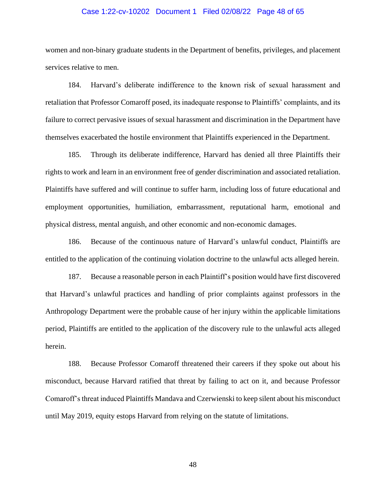## Case 1:22-cv-10202 Document 1 Filed 02/08/22 Page 48 of 65

women and non-binary graduate students in the Department of benefits, privileges, and placement services relative to men.

184. Harvard's deliberate indifference to the known risk of sexual harassment and retaliation that Professor Comaroff posed, its inadequate response to Plaintiffs' complaints, and its failure to correct pervasive issues of sexual harassment and discrimination in the Department have themselves exacerbated the hostile environment that Plaintiffs experienced in the Department.

185. Through its deliberate indifference, Harvard has denied all three Plaintiffs their rights to work and learn in an environment free of gender discrimination and associated retaliation. Plaintiffs have suffered and will continue to suffer harm, including loss of future educational and employment opportunities, humiliation, embarrassment, reputational harm, emotional and physical distress, mental anguish, and other economic and non-economic damages.

186. Because of the continuous nature of Harvard's unlawful conduct, Plaintiffs are entitled to the application of the continuing violation doctrine to the unlawful acts alleged herein.

187. Because a reasonable person in each Plaintiff's position would have first discovered that Harvard's unlawful practices and handling of prior complaints against professors in the Anthropology Department were the probable cause of her injury within the applicable limitations period, Plaintiffs are entitled to the application of the discovery rule to the unlawful acts alleged herein.

188. Because Professor Comaroff threatened their careers if they spoke out about his misconduct, because Harvard ratified that threat by failing to act on it, and because Professor Comaroff's threat induced Plaintiffs Mandava and Czerwienski to keep silent about his misconduct until May 2019, equity estops Harvard from relying on the statute of limitations.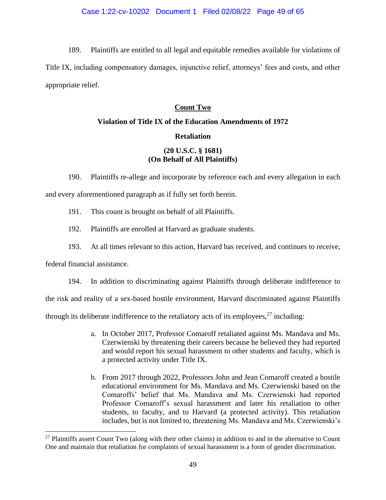189. Plaintiffs are entitled to all legal and equitable remedies available for violations of Title IX, including compensatory damages, injunctive relief, attorneys' fees and costs, and other appropriate relief.

# **Count Two**

# **Violation of Title IX of the Education Amendments of 1972 Retaliation**

# **(20 U.S.C. § 1681) (On Behalf of All Plaintiffs)**

190. Plaintiffs re-allege and incorporate by reference each and every allegation in each and every aforementioned paragraph as if fully set forth herein.

- 191. This count is brought on behalf of all Plaintiffs.
- 192. Plaintiffs are enrolled at Harvard as graduate students.
- 193. At all times relevant to this action, Harvard has received, and continues to receive,

federal financial assistance.

194. In addition to discriminating against Plaintiffs through deliberate indifference to

the risk and reality of a sex-based hostile environment, Harvard discriminated against Plaintiffs

through its deliberate indifference to the retaliatory acts of its employees,  $27$  including:

- a. In October 2017, Professor Comaroff retaliated against Ms. Mandava and Ms. Czerwienski by threatening their careers because he believed they had reported and would report his sexual harassment to other students and faculty, which is a protected activity under Title IX.
- b. From 2017 through 2022, Professors John and Jean Comaroff created a hostile educational environment for Ms. Mandava and Ms. Czerwienski based on the Comaroffs' belief that Ms. Mandava and Ms. Czerwienski had reported Professor Comaroff's sexual harassment and later his retaliation to other students, to faculty, and to Harvard (a protected activity). This retaliation includes, but is not limited to, threatening Ms. Mandava and Ms. Czerwienski's

<sup>&</sup>lt;sup>27</sup> Plaintiffs assert Count Two (along with their other claims) in addition to and in the alternative to Count One and maintain that retaliation for complaints of sexual harassment is a form of gender discrimination.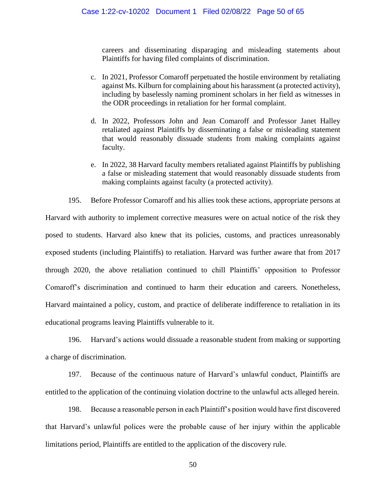careers and disseminating disparaging and misleading statements about Plaintiffs for having filed complaints of discrimination.

- c. In 2021, Professor Comaroff perpetuated the hostile environment by retaliating against Ms. Kilburn for complaining about his harassment (a protected activity), including by baselessly naming prominent scholars in her field as witnesses in the ODR proceedings in retaliation for her formal complaint.
- d. In 2022, Professors John and Jean Comaroff and Professor Janet Halley retaliated against Plaintiffs by disseminating a false or misleading statement that would reasonably dissuade students from making complaints against faculty.
- e. In 2022, 38 Harvard faculty members retaliated against Plaintiffs by publishing a false or misleading statement that would reasonably dissuade students from making complaints against faculty (a protected activity).
- 195. Before Professor Comaroff and his allies took these actions, appropriate persons at

Harvard with authority to implement corrective measures were on actual notice of the risk they posed to students. Harvard also knew that its policies, customs, and practices unreasonably exposed students (including Plaintiffs) to retaliation. Harvard was further aware that from 2017 through 2020, the above retaliation continued to chill Plaintiffs' opposition to Professor Comaroff's discrimination and continued to harm their education and careers. Nonetheless, Harvard maintained a policy, custom, and practice of deliberate indifference to retaliation in its educational programs leaving Plaintiffs vulnerable to it.

196. Harvard's actions would dissuade a reasonable student from making or supporting a charge of discrimination.

197. Because of the continuous nature of Harvard's unlawful conduct, Plaintiffs are entitled to the application of the continuing violation doctrine to the unlawful acts alleged herein.

198. Because a reasonable person in each Plaintiff's position would have first discovered that Harvard's unlawful polices were the probable cause of her injury within the applicable limitations period, Plaintiffs are entitled to the application of the discovery rule.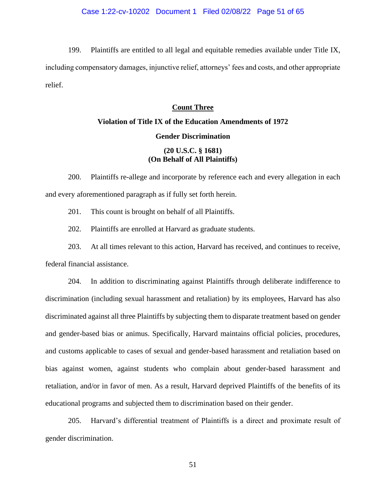199. Plaintiffs are entitled to all legal and equitable remedies available under Title IX, including compensatory damages, injunctive relief, attorneys' fees and costs, and other appropriate relief.

# **Count Three**

# **Violation of Title IX of the Education Amendments of 1972 Gender Discrimination**

# **(20 U.S.C. § 1681) (On Behalf of All Plaintiffs)**

200. Plaintiffs re-allege and incorporate by reference each and every allegation in each and every aforementioned paragraph as if fully set forth herein.

201. This count is brought on behalf of all Plaintiffs.

202. Plaintiffs are enrolled at Harvard as graduate students.

203. At all times relevant to this action, Harvard has received, and continues to receive, federal financial assistance.

204. In addition to discriminating against Plaintiffs through deliberate indifference to discrimination (including sexual harassment and retaliation) by its employees, Harvard has also discriminated against all three Plaintiffs by subjecting them to disparate treatment based on gender and gender-based bias or animus. Specifically, Harvard maintains official policies, procedures, and customs applicable to cases of sexual and gender-based harassment and retaliation based on bias against women, against students who complain about gender-based harassment and retaliation, and/or in favor of men. As a result, Harvard deprived Plaintiffs of the benefits of its educational programs and subjected them to discrimination based on their gender.

205. Harvard's differential treatment of Plaintiffs is a direct and proximate result of gender discrimination.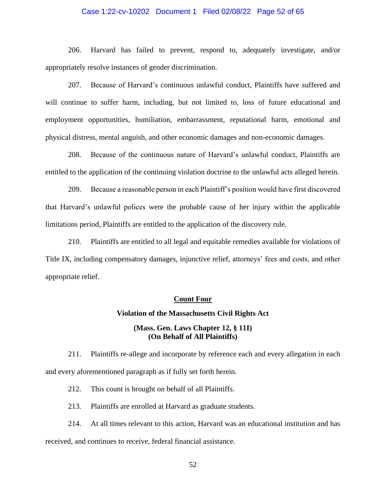# Case 1:22-cv-10202 Document 1 Filed 02/08/22 Page 52 of 65

206. Harvard has failed to prevent, respond to, adequately investigate, and/or appropriately resolve instances of gender discrimination.

207. Because of Harvard's continuous unlawful conduct, Plaintiffs have suffered and will continue to suffer harm, including, but not limited to, loss of future educational and employment opportunities, humiliation, embarrassment, reputational harm, emotional and physical distress, mental anguish, and other economic damages and non-economic damages.

208. Because of the continuous nature of Harvard's unlawful conduct, Plaintiffs are entitled to the application of the continuing violation doctrine to the unlawful acts alleged herein.

209. Because a reasonable person in each Plaintiff's position would have first discovered that Harvard's unlawful polices were the probable cause of her injury within the applicable limitations period, Plaintiffs are entitled to the application of the discovery rule.

210. Plaintiffs are entitled to all legal and equitable remedies available for violations of Title IX, including compensatory damages, injunctive relief, attorneys' fees and costs, and other appropriate relief.

# **Count Four**

#### **Violation of the Massachusetts Civil Rights Act**

# **(Mass. Gen. Laws Chapter 12, § 11I) (On Behalf of All Plaintiffs)**

211. Plaintiffs re-allege and incorporate by reference each and every allegation in each and every aforementioned paragraph as if fully set forth herein.

212. This count is brought on behalf of all Plaintiffs.

213. Plaintiffs are enrolled at Harvard as graduate students.

214. At all times relevant to this action, Harvard was an educational institution and has received, and continues to receive, federal financial assistance.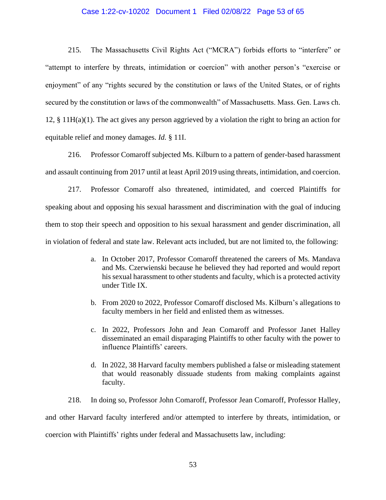## Case 1:22-cv-10202 Document 1 Filed 02/08/22 Page 53 of 65

215. The Massachusetts Civil Rights Act ("MCRA") forbids efforts to "interfere" or "attempt to interfere by threats, intimidation or coercion" with another person's "exercise or enjoyment" of any "rights secured by the constitution or laws of the United States, or of rights secured by the constitution or laws of the commonwealth" of Massachusetts. Mass. Gen. Laws ch. 12, § 11H(a)(1). The act gives any person aggrieved by a violation the right to bring an action for equitable relief and money damages. *Id.* § 11I.

216. Professor Comaroff subjected Ms. Kilburn to a pattern of gender-based harassment and assault continuing from 2017 until at least April 2019 using threats, intimidation, and coercion.

217. Professor Comaroff also threatened, intimidated, and coerced Plaintiffs for speaking about and opposing his sexual harassment and discrimination with the goal of inducing them to stop their speech and opposition to his sexual harassment and gender discrimination, all in violation of federal and state law. Relevant acts included, but are not limited to, the following:

- a. In October 2017, Professor Comaroff threatened the careers of Ms. Mandava and Ms. Czerwienski because he believed they had reported and would report his sexual harassment to other students and faculty, which is a protected activity under Title IX.
- b. From 2020 to 2022, Professor Comaroff disclosed Ms. Kilburn's allegations to faculty members in her field and enlisted them as witnesses.
- c. In 2022, Professors John and Jean Comaroff and Professor Janet Halley disseminated an email disparaging Plaintiffs to other faculty with the power to influence Plaintiffs' careers.
- d. In 2022, 38 Harvard faculty members published a false or misleading statement that would reasonably dissuade students from making complaints against faculty.

218. In doing so, Professor John Comaroff, Professor Jean Comaroff, Professor Halley, and other Harvard faculty interfered and/or attempted to interfere by threats, intimidation, or coercion with Plaintiffs' rights under federal and Massachusetts law, including: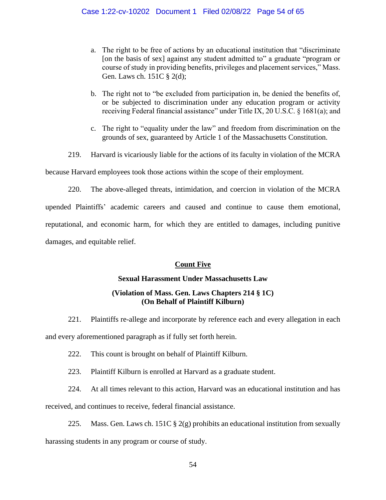- a. The right to be free of actions by an educational institution that "discriminate [on the basis of sex] against any student admitted to" a graduate "program or course of study in providing benefits, privileges and placement services," Mass. Gen. Laws ch. 151C § 2(d);
- b. The right not to "be excluded from participation in, be denied the benefits of, or be subjected to discrimination under any education program or activity receiving Federal financial assistance" under Title IX, 20 U.S.C. § 1681(a); and
- c. The right to "equality under the law" and freedom from discrimination on the grounds of sex, guaranteed by Article 1 of the Massachusetts Constitution.
- 219. Harvard is vicariously liable for the actions of its faculty in violation of the MCRA

because Harvard employees took those actions within the scope of their employment.

220. The above-alleged threats, intimidation, and coercion in violation of the MCRA upended Plaintiffs' academic careers and caused and continue to cause them emotional, reputational, and economic harm, for which they are entitled to damages, including punitive damages, and equitable relief.

# **Count Five**

# **Sexual Harassment Under Massachusetts Law**

# **(Violation of Mass. Gen. Laws Chapters 214 § 1C) (On Behalf of Plaintiff Kilburn)**

- 221. Plaintiffs re-allege and incorporate by reference each and every allegation in each and every aforementioned paragraph as if fully set forth herein.
	- 222. This count is brought on behalf of Plaintiff Kilburn.
	- 223. Plaintiff Kilburn is enrolled at Harvard as a graduate student.
	- 224. At all times relevant to this action, Harvard was an educational institution and has

received, and continues to receive, federal financial assistance.

225. Mass. Gen. Laws ch. 151C  $\S 2(g)$  prohibits an educational institution from sexually harassing students in any program or course of study.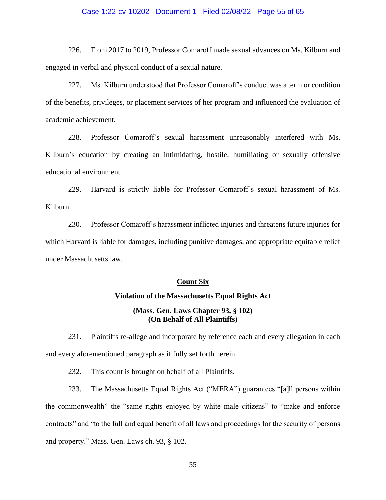## Case 1:22-cv-10202 Document 1 Filed 02/08/22 Page 55 of 65

226. From 2017 to 2019, Professor Comaroff made sexual advances on Ms. Kilburn and engaged in verbal and physical conduct of a sexual nature.

227. Ms. Kilburn understood that Professor Comaroff's conduct was a term or condition of the benefits, privileges, or placement services of her program and influenced the evaluation of academic achievement.

228. Professor Comaroff's sexual harassment unreasonably interfered with Ms. Kilburn's education by creating an intimidating, hostile, humiliating or sexually offensive educational environment.

229. Harvard is strictly liable for Professor Comaroff's sexual harassment of Ms. Kilburn.

230. Professor Comaroff's harassment inflicted injuries and threatens future injuries for which Harvard is liable for damages, including punitive damages, and appropriate equitable relief under Massachusetts law.

# **Count Six**

# **Violation of the Massachusetts Equal Rights Act**

# **(Mass. Gen. Laws Chapter 93, § 102) (On Behalf of All Plaintiffs)**

231. Plaintiffs re-allege and incorporate by reference each and every allegation in each and every aforementioned paragraph as if fully set forth herein.

232. This count is brought on behalf of all Plaintiffs.

233. The Massachusetts Equal Rights Act ("MERA") guarantees "[a]ll persons within the commonwealth" the "same rights enjoyed by white male citizens" to "make and enforce contracts" and "to the full and equal benefit of all laws and proceedings for the security of persons and property." Mass. Gen. Laws ch. 93, § 102.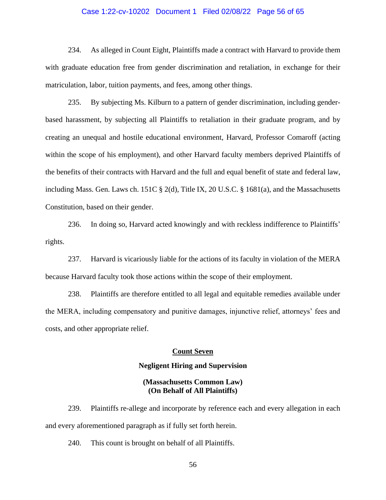# Case 1:22-cv-10202 Document 1 Filed 02/08/22 Page 56 of 65

234. As alleged in Count Eight, Plaintiffs made a contract with Harvard to provide them with graduate education free from gender discrimination and retaliation, in exchange for their matriculation, labor, tuition payments, and fees, among other things.

235. By subjecting Ms. Kilburn to a pattern of gender discrimination, including genderbased harassment, by subjecting all Plaintiffs to retaliation in their graduate program, and by creating an unequal and hostile educational environment, Harvard, Professor Comaroff (acting within the scope of his employment), and other Harvard faculty members deprived Plaintiffs of the benefits of their contracts with Harvard and the full and equal benefit of state and federal law, including Mass. Gen. Laws ch. 151C § 2(d), Title IX, 20 U.S.C. § 1681(a), and the Massachusetts Constitution, based on their gender.

236. In doing so, Harvard acted knowingly and with reckless indifference to Plaintiffs' rights.

237. Harvard is vicariously liable for the actions of its faculty in violation of the MERA because Harvard faculty took those actions within the scope of their employment.

238. Plaintiffs are therefore entitled to all legal and equitable remedies available under the MERA, including compensatory and punitive damages, injunctive relief, attorneys' fees and costs, and other appropriate relief.

# **Count Seven**

#### **Negligent Hiring and Supervision**

# **(Massachusetts Common Law) (On Behalf of All Plaintiffs)**

239. Plaintiffs re-allege and incorporate by reference each and every allegation in each and every aforementioned paragraph as if fully set forth herein.

240. This count is brought on behalf of all Plaintiffs.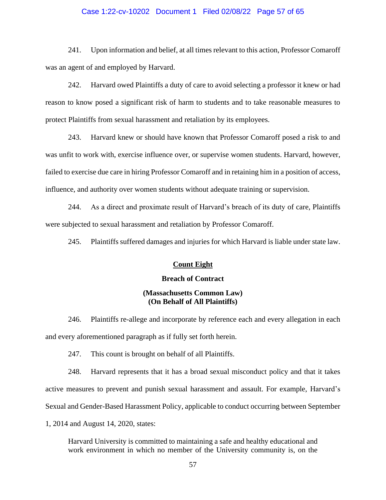## Case 1:22-cv-10202 Document 1 Filed 02/08/22 Page 57 of 65

241. Upon information and belief, at all times relevant to this action, Professor Comaroff was an agent of and employed by Harvard.

242. Harvard owed Plaintiffs a duty of care to avoid selecting a professor it knew or had reason to know posed a significant risk of harm to students and to take reasonable measures to protect Plaintiffs from sexual harassment and retaliation by its employees.

243. Harvard knew or should have known that Professor Comaroff posed a risk to and was unfit to work with, exercise influence over, or supervise women students. Harvard, however, failed to exercise due care in hiring Professor Comaroff and in retaining him in a position of access, influence, and authority over women students without adequate training or supervision.

244. As a direct and proximate result of Harvard's breach of its duty of care, Plaintiffs were subjected to sexual harassment and retaliation by Professor Comaroff.

245. Plaintiffs suffered damages and injuries for which Harvard is liable under state law.

## **Count Eight**

#### **Breach of Contract**

# **(Massachusetts Common Law) (On Behalf of All Plaintiffs)**

246. Plaintiffs re-allege and incorporate by reference each and every allegation in each and every aforementioned paragraph as if fully set forth herein.

247. This count is brought on behalf of all Plaintiffs.

248. Harvard represents that it has a broad sexual misconduct policy and that it takes active measures to prevent and punish sexual harassment and assault. For example, Harvard's Sexual and Gender-Based Harassment Policy, applicable to conduct occurring between September 1, 2014 and August 14, 2020, states:

Harvard University is committed to maintaining a safe and healthy educational and work environment in which no member of the University community is, on the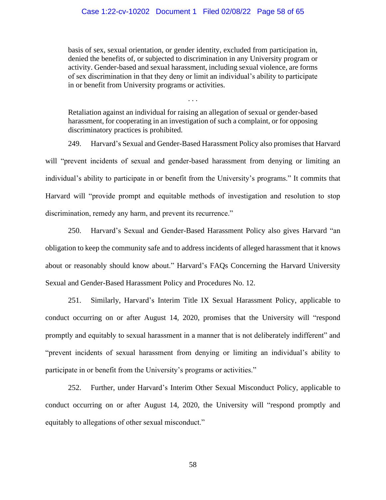## Case 1:22-cv-10202 Document 1 Filed 02/08/22 Page 58 of 65

basis of sex, sexual orientation, or gender identity, excluded from participation in, denied the benefits of, or subjected to discrimination in any University program or activity. Gender-based and sexual harassment, including sexual violence, are forms of sex discrimination in that they deny or limit an individual's ability to participate in or benefit from University programs or activities.

Retaliation against an individual for raising an allegation of sexual or gender-based harassment, for cooperating in an investigation of such a complaint, or for opposing discriminatory practices is prohibited.

. . .

249. Harvard's Sexual and Gender-Based Harassment Policy also promises that Harvard will "prevent incidents of sexual and gender-based harassment from denying or limiting an individual's ability to participate in or benefit from the University's programs." It commits that Harvard will "provide prompt and equitable methods of investigation and resolution to stop discrimination, remedy any harm, and prevent its recurrence."

250. Harvard's Sexual and Gender-Based Harassment Policy also gives Harvard "an obligation to keep the community safe and to address incidents of alleged harassment that it knows about or reasonably should know about." Harvard's FAQs Concerning the Harvard University Sexual and Gender-Based Harassment Policy and Procedures No. 12.

251. Similarly, Harvard's Interim Title IX Sexual Harassment Policy, applicable to conduct occurring on or after August 14, 2020, promises that the University will "respond promptly and equitably to sexual harassment in a manner that is not deliberately indifferent" and "prevent incidents of sexual harassment from denying or limiting an individual's ability to participate in or benefit from the University's programs or activities."

252. Further, under Harvard's Interim Other Sexual Misconduct Policy, applicable to conduct occurring on or after August 14, 2020, the University will "respond promptly and equitably to allegations of other sexual misconduct."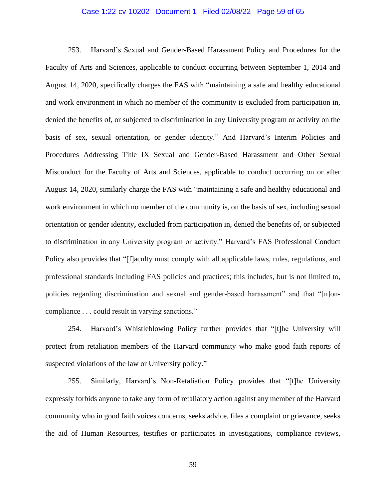## Case 1:22-cv-10202 Document 1 Filed 02/08/22 Page 59 of 65

253. Harvard's Sexual and Gender-Based Harassment Policy and Procedures for the Faculty of Arts and Sciences, applicable to conduct occurring between September 1, 2014 and August 14, 2020, specifically charges the FAS with "maintaining a safe and healthy educational and work environment in which no member of the community is excluded from participation in, denied the benefits of, or subjected to discrimination in any University program or activity on the basis of sex, sexual orientation, or gender identity." And Harvard's Interim Policies and Procedures Addressing Title IX Sexual and Gender-Based Harassment and Other Sexual Misconduct for the Faculty of Arts and Sciences, applicable to conduct occurring on or after August 14, 2020, similarly charge the FAS with "maintaining a safe and healthy educational and work environment in which no member of the community is, on the basis of sex, including sexual orientation or gender identity**,** excluded from participation in, denied the benefits of, or subjected to discrimination in any University program or activity." Harvard's FAS Professional Conduct Policy also provides that "[f]aculty must comply with all applicable laws, rules, regulations, and professional standards including FAS policies and practices; this includes, but is not limited to, policies regarding discrimination and sexual and gender-based harassment" and that "[n]oncompliance . . . could result in varying sanctions."

254. Harvard's Whistleblowing Policy further provides that "[t]he University will protect from retaliation members of the Harvard community who make good faith reports of suspected violations of the law or University policy."

255. Similarly, Harvard's Non-Retaliation Policy provides that "[t]he University expressly forbids anyone to take any form of retaliatory action against any member of the Harvard community who in good faith voices concerns, seeks advice, files a complaint or grievance, seeks the aid of Human Resources, testifies or participates in investigations, compliance reviews,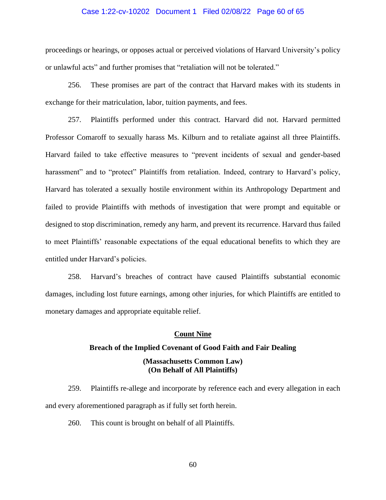## Case 1:22-cv-10202 Document 1 Filed 02/08/22 Page 60 of 65

proceedings or hearings, or opposes actual or perceived violations of Harvard University's policy or unlawful acts" and further promises that "retaliation will not be tolerated."

256. These promises are part of the contract that Harvard makes with its students in exchange for their matriculation, labor, tuition payments, and fees.

257. Plaintiffs performed under this contract. Harvard did not. Harvard permitted Professor Comaroff to sexually harass Ms. Kilburn and to retaliate against all three Plaintiffs. Harvard failed to take effective measures to "prevent incidents of sexual and gender-based harassment" and to "protect" Plaintiffs from retaliation. Indeed, contrary to Harvard's policy, Harvard has tolerated a sexually hostile environment within its Anthropology Department and failed to provide Plaintiffs with methods of investigation that were prompt and equitable or designed to stop discrimination, remedy any harm, and prevent its recurrence. Harvard thus failed to meet Plaintiffs' reasonable expectations of the equal educational benefits to which they are entitled under Harvard's policies.

258. Harvard's breaches of contract have caused Plaintiffs substantial economic damages, including lost future earnings, among other injuries, for which Plaintiffs are entitled to monetary damages and appropriate equitable relief.

## **Count Nine**

# **Breach of the Implied Covenant of Good Faith and Fair Dealing**

# **(Massachusetts Common Law) (On Behalf of All Plaintiffs)**

259. Plaintiffs re-allege and incorporate by reference each and every allegation in each and every aforementioned paragraph as if fully set forth herein.

260. This count is brought on behalf of all Plaintiffs.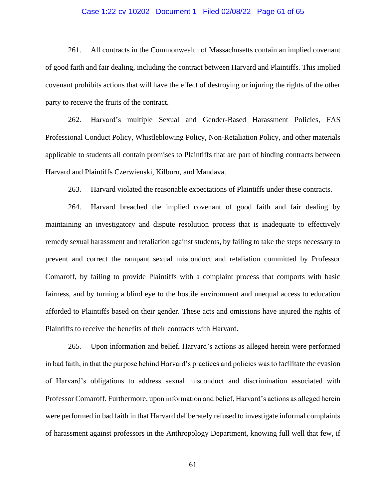# Case 1:22-cv-10202 Document 1 Filed 02/08/22 Page 61 of 65

261. All contracts in the Commonwealth of Massachusetts contain an implied covenant of good faith and fair dealing, including the contract between Harvard and Plaintiffs. This implied covenant prohibits actions that will have the effect of destroying or injuring the rights of the other party to receive the fruits of the contract.

262. Harvard's multiple Sexual and Gender-Based Harassment Policies, FAS Professional Conduct Policy, Whistleblowing Policy, Non-Retaliation Policy, and other materials applicable to students all contain promises to Plaintiffs that are part of binding contracts between Harvard and Plaintiffs Czerwienski, Kilburn, and Mandava.

263. Harvard violated the reasonable expectations of Plaintiffs under these contracts.

264. Harvard breached the implied covenant of good faith and fair dealing by maintaining an investigatory and dispute resolution process that is inadequate to effectively remedy sexual harassment and retaliation against students, by failing to take the steps necessary to prevent and correct the rampant sexual misconduct and retaliation committed by Professor Comaroff, by failing to provide Plaintiffs with a complaint process that comports with basic fairness, and by turning a blind eye to the hostile environment and unequal access to education afforded to Plaintiffs based on their gender. These acts and omissions have injured the rights of Plaintiffs to receive the benefits of their contracts with Harvard.

265. Upon information and belief, Harvard's actions as alleged herein were performed in bad faith, in that the purpose behind Harvard's practices and policies was to facilitate the evasion of Harvard's obligations to address sexual misconduct and discrimination associated with Professor Comaroff. Furthermore, upon information and belief, Harvard's actions as alleged herein were performed in bad faith in that Harvard deliberately refused to investigate informal complaints of harassment against professors in the Anthropology Department, knowing full well that few, if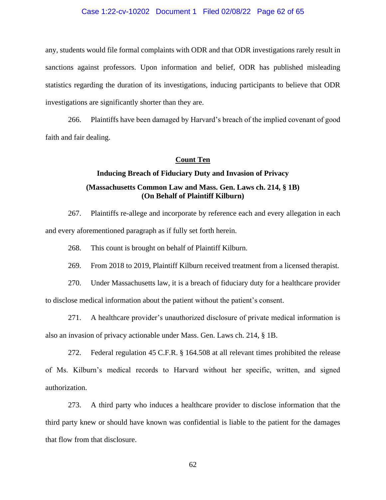#### Case 1:22-cv-10202 Document 1 Filed 02/08/22 Page 62 of 65

any, students would file formal complaints with ODR and that ODR investigations rarely result in sanctions against professors. Upon information and belief, ODR has published misleading statistics regarding the duration of its investigations, inducing participants to believe that ODR investigations are significantly shorter than they are.

266. Plaintiffs have been damaged by Harvard's breach of the implied covenant of good faith and fair dealing.

# **Count Ten**

# **Inducing Breach of Fiduciary Duty and Invasion of Privacy (Massachusetts Common Law and Mass. Gen. Laws ch. 214, § 1B) (On Behalf of Plaintiff Kilburn)**

267. Plaintiffs re-allege and incorporate by reference each and every allegation in each and every aforementioned paragraph as if fully set forth herein.

268. This count is brought on behalf of Plaintiff Kilburn.

269. From 2018 to 2019, Plaintiff Kilburn received treatment from a licensed therapist.

270. Under Massachusetts law, it is a breach of fiduciary duty for a healthcare provider to disclose medical information about the patient without the patient's consent.

271. A healthcare provider's unauthorized disclosure of private medical information is also an invasion of privacy actionable under Mass. Gen. Laws ch. 214, § 1B.

272. Federal regulation 45 C.F.R. § 164.508 at all relevant times prohibited the release of Ms. Kilburn's medical records to Harvard without her specific, written, and signed authorization.

273. A third party who induces a healthcare provider to disclose information that the third party knew or should have known was confidential is liable to the patient for the damages that flow from that disclosure.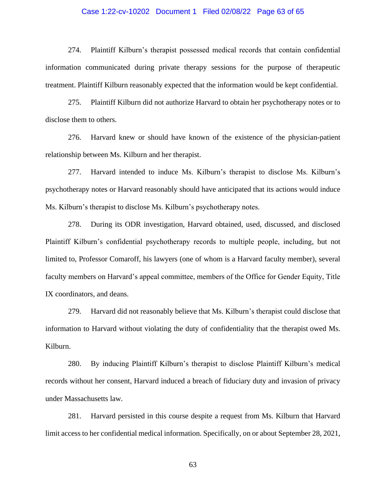## Case 1:22-cv-10202 Document 1 Filed 02/08/22 Page 63 of 65

274. Plaintiff Kilburn's therapist possessed medical records that contain confidential information communicated during private therapy sessions for the purpose of therapeutic treatment. Plaintiff Kilburn reasonably expected that the information would be kept confidential.

275. Plaintiff Kilburn did not authorize Harvard to obtain her psychotherapy notes or to disclose them to others.

276. Harvard knew or should have known of the existence of the physician-patient relationship between Ms. Kilburn and her therapist.

277. Harvard intended to induce Ms. Kilburn's therapist to disclose Ms. Kilburn's psychotherapy notes or Harvard reasonably should have anticipated that its actions would induce Ms. Kilburn's therapist to disclose Ms. Kilburn's psychotherapy notes.

278. During its ODR investigation, Harvard obtained, used, discussed, and disclosed Plaintiff Kilburn's confidential psychotherapy records to multiple people, including, but not limited to, Professor Comaroff, his lawyers (one of whom is a Harvard faculty member), several faculty members on Harvard's appeal committee, members of the Office for Gender Equity, Title IX coordinators, and deans.

279. Harvard did not reasonably believe that Ms. Kilburn's therapist could disclose that information to Harvard without violating the duty of confidentiality that the therapist owed Ms. Kilburn.

280. By inducing Plaintiff Kilburn's therapist to disclose Plaintiff Kilburn's medical records without her consent, Harvard induced a breach of fiduciary duty and invasion of privacy under Massachusetts law.

281. Harvard persisted in this course despite a request from Ms. Kilburn that Harvard limit access to her confidential medical information. Specifically, on or about September 28, 2021,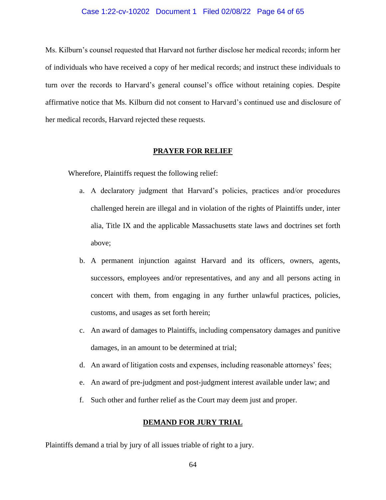#### Case 1:22-cv-10202 Document 1 Filed 02/08/22 Page 64 of 65

Ms. Kilburn's counsel requested that Harvard not further disclose her medical records; inform her of individuals who have received a copy of her medical records; and instruct these individuals to turn over the records to Harvard's general counsel's office without retaining copies. Despite affirmative notice that Ms. Kilburn did not consent to Harvard's continued use and disclosure of her medical records, Harvard rejected these requests.

# **PRAYER FOR RELIEF**

Wherefore, Plaintiffs request the following relief:

- a. A declaratory judgment that Harvard's policies, practices and/or procedures challenged herein are illegal and in violation of the rights of Plaintiffs under, inter alia, Title IX and the applicable Massachusetts state laws and doctrines set forth above;
- b. A permanent injunction against Harvard and its officers, owners, agents, successors, employees and/or representatives, and any and all persons acting in concert with them, from engaging in any further unlawful practices, policies, customs, and usages as set forth herein;
- c. An award of damages to Plaintiffs, including compensatory damages and punitive damages, in an amount to be determined at trial;
- d. An award of litigation costs and expenses, including reasonable attorneys' fees;
- e. An award of pre-judgment and post-judgment interest available under law; and
- f. Such other and further relief as the Court may deem just and proper.

#### **DEMAND FOR JURY TRIAL**

Plaintiffs demand a trial by jury of all issues triable of right to a jury.